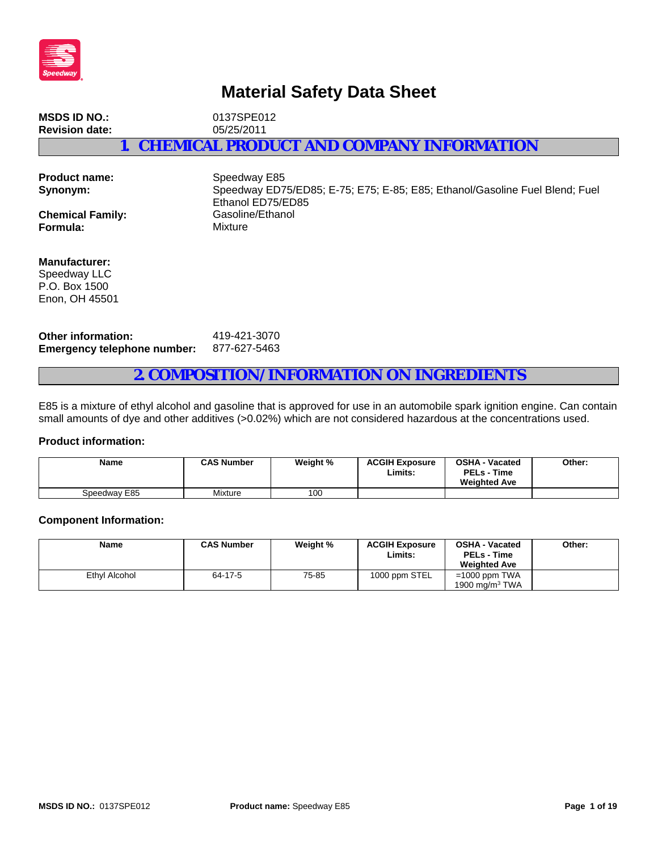

# **Material Safety Data Sheet**

**MSDS ID NO.:** 0137SPE012<br> **Revision date:** 05/25/2011 **Revision date: 1. CHEMICAL PRODUCT AND COMPANY INFORMATION**

| <b>Product name:</b><br>Synonym: | Speedway E85<br>Speedway ED75/ED85; E-75; E75; E-85; E85; Ethanol/Gasoline Fuel Blend; Fuel<br>Ethanol ED75/ED85 |
|----------------------------------|------------------------------------------------------------------------------------------------------------------|
| <b>Chemical Family:</b>          | Gasoline/Ethanol                                                                                                 |
| Formula:                         | Mixture                                                                                                          |
|                                  |                                                                                                                  |

**Manufacturer:** Speedway LLC

P.O. Box 1500 Enon, OH 45501

**Other information:** 419-421-3070 **Emergency telephone number:** 877-627-5463

## **2. COMPOSITION/INFORMATION ON INGREDIENTS**

E85 is a mixture of ethyl alcohol and gasoline that is approved for use in an automobile spark ignition engine. Can contain small amounts of dye and other additives (>0.02%) which are not considered hazardous at the concentrations used.

#### **Product information:**

| <b>Name</b>  | <b>CAS Number</b> | Weight % | <b>ACGIH Exposure</b><br>Limits: | <b>OSHA - Vacated</b><br><b>PELs - Time</b><br><b>Weighted Ave</b> | Other: |
|--------------|-------------------|----------|----------------------------------|--------------------------------------------------------------------|--------|
| Speedway E85 | Mixture           | 100      |                                  |                                                                    |        |

#### **Component Information:**

| <b>Name</b>   | <b>CAS Number</b> | Weight % | <b>ACGIH Exposure</b><br>Limits: | <b>OSHA - Vacated</b><br><b>PELs - Time</b><br><b>Weighted Ave</b> | Other: |
|---------------|-------------------|----------|----------------------------------|--------------------------------------------------------------------|--------|
| Ethyl Alcohol | 64-17-5           | 75-85    | 1000 ppm STEL                    | $=1000$ ppm TWA<br>1900 mg/m $3$ TWA                               |        |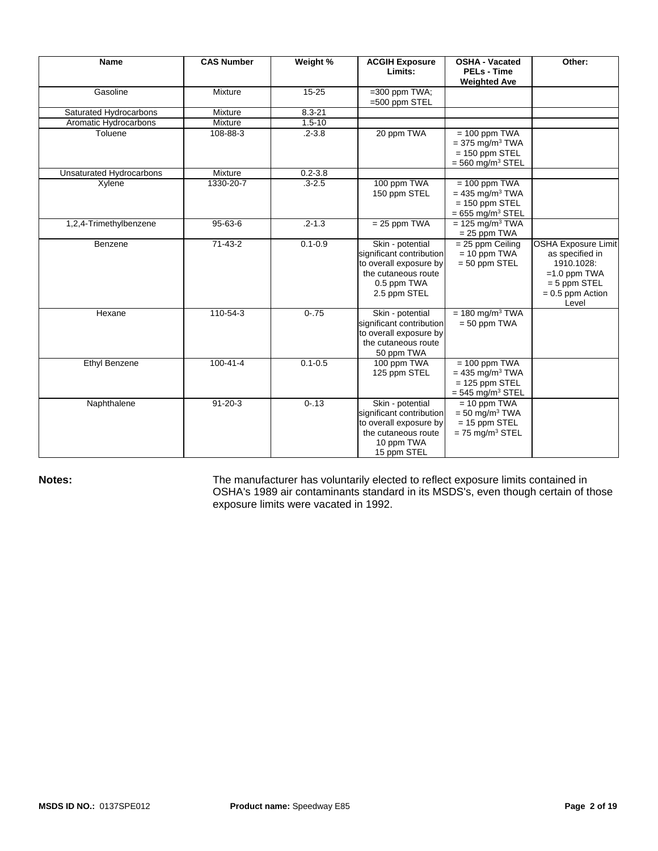| <b>Name</b>              | <b>CAS Number</b> | Weight %    | <b>ACGIH Exposure</b><br>Limits:                                                                                             | <b>OSHA - Vacated</b><br><b>PELs - Time</b><br><b>Weighted Ave</b>                                     | Other:                                                                                                                         |
|--------------------------|-------------------|-------------|------------------------------------------------------------------------------------------------------------------------------|--------------------------------------------------------------------------------------------------------|--------------------------------------------------------------------------------------------------------------------------------|
| Gasoline                 | Mixture           | 15-25       | $=300$ ppm TWA;<br>$=500$ ppm STEL                                                                                           |                                                                                                        |                                                                                                                                |
| Saturated Hydrocarbons   | Mixture           | $8.3 - 21$  |                                                                                                                              |                                                                                                        |                                                                                                                                |
| Aromatic Hydrocarbons    | Mixture           | $1.5 - 10$  |                                                                                                                              |                                                                                                        |                                                                                                                                |
| Toluene                  | 108-88-3          | $.2 - 3.8$  | 20 ppm TWA                                                                                                                   | $= 100$ ppm TWA<br>$= 375$ mg/m <sup>3</sup> TWA<br>$= 150$ ppm STEL<br>$=$ 560 mg/m <sup>3</sup> STEL |                                                                                                                                |
| Unsaturated Hydrocarbons | Mixture           | $0.2 - 3.8$ |                                                                                                                              |                                                                                                        |                                                                                                                                |
| Xylene                   | 1330-20-7         | $.3 - 2.5$  | 100 ppm TWA<br>150 ppm STEL                                                                                                  | $= 100$ ppm TWA<br>$= 435$ mg/m <sup>3</sup> TWA<br>$= 150$ ppm STEL<br>$= 655$ mg/m <sup>3</sup> STEL |                                                                                                                                |
| 1,2,4-Trimethylbenzene   | $95 - 63 - 6$     | $.2 - 1.3$  | $= 25$ ppm TWA                                                                                                               | $= 125$ mg/m <sup>3</sup> TWA<br>$= 25$ ppm TWA                                                        |                                                                                                                                |
| Benzene                  | $71 - 43 - 2$     | $0.1 - 0.9$ | Skin - potential<br>significant contribution<br>to overall exposure by<br>the cutaneous route<br>0.5 ppm TWA<br>2.5 ppm STEL | $= 25$ ppm Ceiling<br>$= 10$ ppm TWA<br>$= 50$ ppm STEL                                                | <b>OSHA Exposure Limit</b><br>as specified in<br>1910.1028:<br>$=1.0$ ppm TWA<br>$= 5$ ppm STEL<br>$= 0.5$ ppm Action<br>Level |
| Hexane                   | 110-54-3          | $0 - .75$   | Skin - potential<br>significant contribution<br>to overall exposure by<br>the cutaneous route<br>50 ppm TWA                  | $= 180$ mg/m <sup>3</sup> TWA<br>$= 50$ ppm TWA                                                        |                                                                                                                                |
| Ethyl Benzene            | $100 - 41 - 4$    | $0.1 - 0.5$ | 100 ppm TWA<br>125 ppm STEL                                                                                                  | $= 100$ ppm TWA<br>$= 435$ mg/m <sup>3</sup> TWA<br>$= 125$ ppm STEL<br>$=$ 545 mg/m <sup>3</sup> STEL |                                                                                                                                |
| Naphthalene              | $91 - 20 - 3$     | $0 - 13$    | Skin - potential<br>significant contribution<br>to overall exposure by<br>the cutaneous route<br>10 ppm TWA<br>15 ppm STEL   | $= 10$ ppm TWA<br>$=$ 50 mg/m <sup>3</sup> TWA<br>$= 15$ ppm STEL<br>$= 75$ mg/m <sup>3</sup> STEL     |                                                                                                                                |

**Notes: The manufacturer has voluntarily elected to reflect exposure limits contained in** OSHA's 1989 air contaminants standard in its MSDS's, even though certain of those exposure limits were vacated in 1992.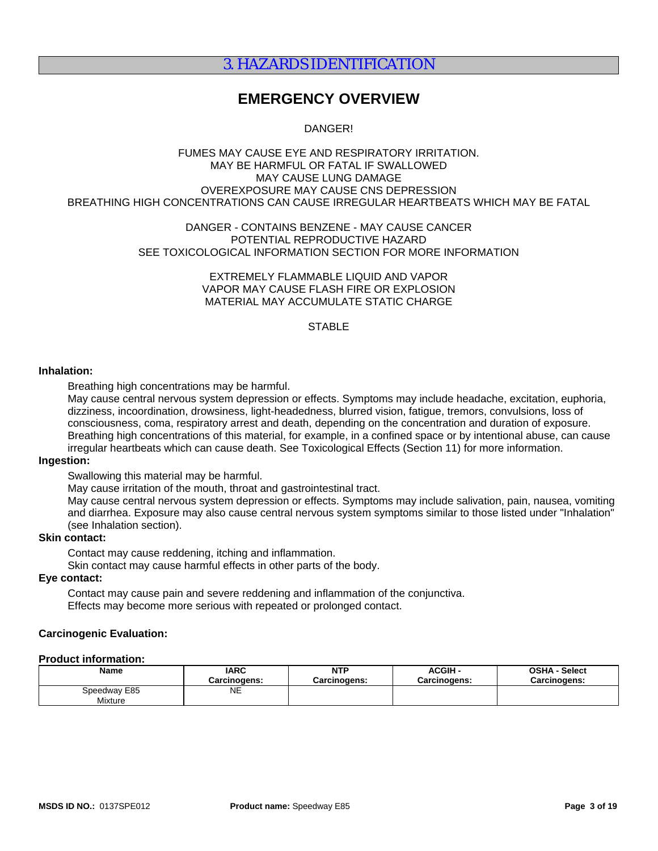# 3. HAZARDS IDENTIFICATION

# **EMERGENCY OVERVIEW**

DANGER!

#### FUMES MAY CAUSE EYE AND RESPIRATORY IRRITATION. MAY BE HARMFUL OR FATAL IF SWALLOWED MAY CAUSE LUNG DAMAGE OVEREXPOSURE MAY CAUSE CNS DEPRESSION BREATHING HIGH CONCENTRATIONS CAN CAUSE IRREGULAR HEARTBEATS WHICH MAY BE FATAL

#### DANGER - CONTAINS BENZENE - MAY CAUSE CANCER POTENTIAL REPRODUCTIVE HAZARD SEE TOXICOLOGICAL INFORMATION SECTION FOR MORE INFORMATION

EXTREMELY FLAMMABLE LIQUID AND VAPOR VAPOR MAY CAUSE FLASH FIRE OR EXPLOSION MATERIAL MAY ACCUMULATE STATIC CHARGE

#### **STABLE**

#### **Inhalation:**

Breathing high concentrations may be harmful.

May cause central nervous system depression or effects. Symptoms may include headache, excitation, euphoria, dizziness, incoordination, drowsiness, light-headedness, blurred vision, fatigue, tremors, convulsions, loss of consciousness, coma, respiratory arrest and death, depending on the concentration and duration of exposure. Breathing high concentrations of this material, for example, in a confined space or by intentional abuse, can cause irregular heartbeats which can cause death. See Toxicological Effects (Section 11) for more information.

#### **Ingestion:**

Swallowing this material may be harmful.

May cause irritation of the mouth, throat and gastrointestinal tract.

May cause central nervous system depression or effects. Symptoms may include salivation, pain, nausea, vomiting and diarrhea. Exposure may also cause central nervous system symptoms similar to those listed under "Inhalation" (see Inhalation section).

### **Skin contact:**

Contact may cause reddening, itching and inflammation.

Skin contact may cause harmful effects in other parts of the body.

## **Eye contact:**

Contact may cause pain and severe reddening and inflammation of the conjunctiva. Effects may become more serious with repeated or prolonged contact.

#### **Carcinogenic Evaluation:**

#### **Product information:**

| <b>Name</b>             | <b>IARC</b>  | <b>NTP</b>   | <b>ACGIH-</b> | <b>OSHA - Select</b> |
|-------------------------|--------------|--------------|---------------|----------------------|
|                         | Carcinogens: | Carcinogens: | Carcinogens:  | <b>Carcinogens:</b>  |
| Speedway E85<br>Mixture | NE           |              |               |                      |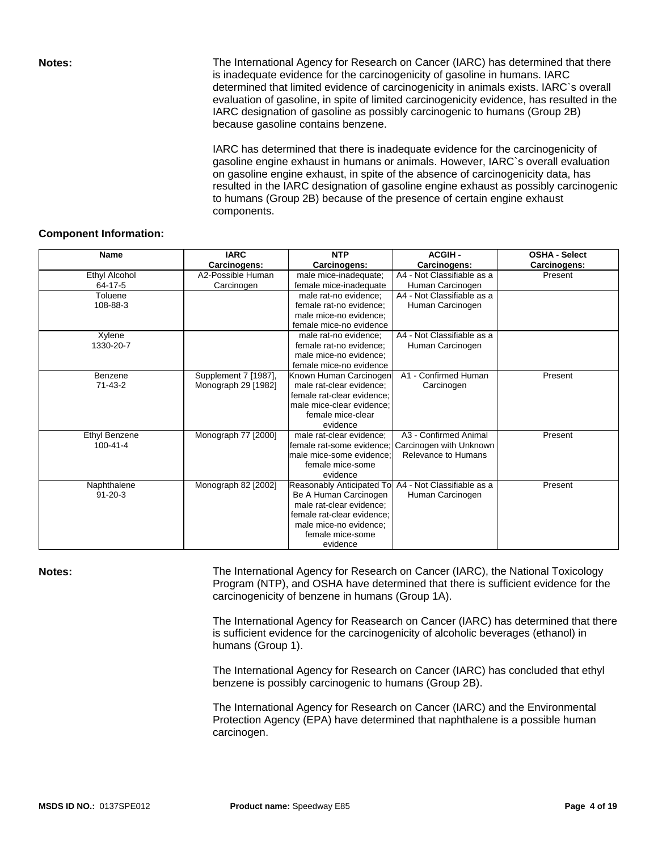**Notes: The International Agency for Research on Cancer (IARC) has determined that there** is inadequate evidence for the carcinogenicity of gasoline in humans. IARC determined that limited evidence of carcinogenicity in animals exists. IARC`s overall evaluation of gasoline, in spite of limited carcinogenicity evidence, has resulted in the IARC designation of gasoline as possibly carcinogenic to humans (Group 2B) because gasoline contains benzene.

> IARC has determined that there is inadequate evidence for the carcinogenicity of gasoline engine exhaust in humans or animals. However, IARC`s overall evaluation on gasoline engine exhaust, in spite of the absence of carcinogenicity data, has resulted in the IARC designation of gasoline engine exhaust as possibly carcinogenic to humans (Group 2B) because of the presence of certain engine exhaust components.

### **Component Information:**

| <b>Name</b>          | <b>IARC</b>          | <b>NTP</b>                                           | <b>ACGIH-</b>              | <b>OSHA - Select</b> |
|----------------------|----------------------|------------------------------------------------------|----------------------------|----------------------|
|                      | Carcinogens:         | Carcinogens:                                         | Carcinogens:               | Carcinogens:         |
| Ethyl Alcohol        | A2-Possible Human    | male mice-inadequate;                                | A4 - Not Classifiable as a | Present              |
| $64 - 17 - 5$        | Carcinogen           | female mice-inadequate                               | Human Carcinogen           |                      |
| Toluene              |                      | male rat-no evidence;                                | A4 - Not Classifiable as a |                      |
| 108-88-3             |                      | female rat-no evidence:                              | Human Carcinogen           |                      |
|                      |                      | male mice-no evidence;                               |                            |                      |
|                      |                      | female mice-no evidence                              |                            |                      |
| Xylene               |                      | male rat-no evidence;                                | A4 - Not Classifiable as a |                      |
| 1330-20-7            |                      | female rat-no evidence:                              | Human Carcinogen           |                      |
|                      |                      | male mice-no evidence;                               |                            |                      |
|                      |                      | female mice-no evidence                              |                            |                      |
| Benzene              | Supplement 7 [1987], | Known Human Carcinogen                               | A1 - Confirmed Human       | Present              |
| $71 - 43 - 2$        | Monograph 29 [1982]  | male rat-clear evidence:                             | Carcinogen                 |                      |
|                      |                      | female rat-clear evidence:                           |                            |                      |
|                      |                      | male mice-clear evidence:                            |                            |                      |
|                      |                      | female mice-clear                                    |                            |                      |
|                      |                      | evidence                                             |                            |                      |
| <b>Ethyl Benzene</b> | Monograph 77 [2000]  | male rat-clear evidence:                             | A3 - Confirmed Animal      | Present              |
| $100 - 41 - 4$       |                      | female rat-some evidence:                            | Carcinogen with Unknown    |                      |
|                      |                      | male mice-some evidence:                             | Relevance to Humans        |                      |
|                      |                      | female mice-some                                     |                            |                      |
|                      |                      | evidence                                             |                            |                      |
| Naphthalene          | Monograph 82 [2002]  | Reasonably Anticipated To A4 - Not Classifiable as a |                            | Present              |
| $91 - 20 - 3$        |                      | Be A Human Carcinogen                                | Human Carcinogen           |                      |
|                      |                      | male rat-clear evidence;                             |                            |                      |
|                      |                      | female rat-clear evidence:                           |                            |                      |
|                      |                      | male mice-no evidence;                               |                            |                      |
|                      |                      | female mice-some                                     |                            |                      |
|                      |                      | evidence                                             |                            |                      |

**Notes: The International Agency for Research on Cancer (IARC), the National Toxicology** Program (NTP), and OSHA have determined that there is sufficient evidence for the carcinogenicity of benzene in humans (Group 1A).

> The International Agency for Reasearch on Cancer (IARC) has determined that there is sufficient evidence for the carcinogenicity of alcoholic beverages (ethanol) in humans (Group 1).

The International Agency for Research on Cancer (IARC) has concluded that ethyl benzene is possibly carcinogenic to humans (Group 2B).

The International Agency for Research on Cancer (IARC) and the Environmental Protection Agency (EPA) have determined that naphthalene is a possible human carcinogen.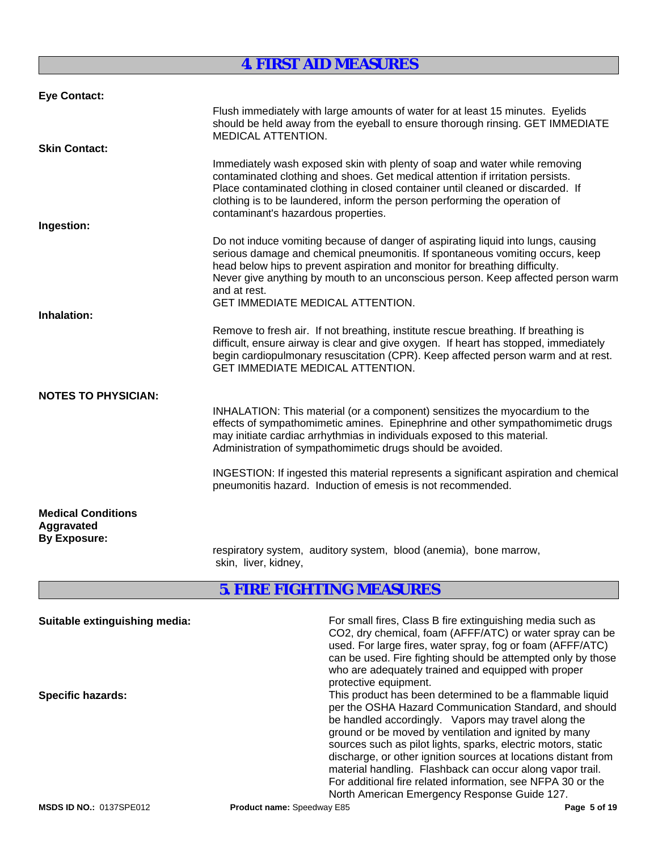# **4. FIRST AID MEASURES**

| <b>Eye Contact:</b>                                            |                                                                                                                                                                                                                                                                                                                                                                                                  |
|----------------------------------------------------------------|--------------------------------------------------------------------------------------------------------------------------------------------------------------------------------------------------------------------------------------------------------------------------------------------------------------------------------------------------------------------------------------------------|
|                                                                | Flush immediately with large amounts of water for at least 15 minutes. Eyelids<br>should be held away from the eyeball to ensure thorough rinsing. GET IMMEDIATE<br><b>MEDICAL ATTENTION.</b>                                                                                                                                                                                                    |
| <b>Skin Contact:</b>                                           |                                                                                                                                                                                                                                                                                                                                                                                                  |
|                                                                | Immediately wash exposed skin with plenty of soap and water while removing<br>contaminated clothing and shoes. Get medical attention if irritation persists.<br>Place contaminated clothing in closed container until cleaned or discarded. If<br>clothing is to be laundered, inform the person performing the operation of<br>contaminant's hazardous properties.                              |
| Ingestion:                                                     |                                                                                                                                                                                                                                                                                                                                                                                                  |
|                                                                | Do not induce vomiting because of danger of aspirating liquid into lungs, causing<br>serious damage and chemical pneumonitis. If spontaneous vomiting occurs, keep<br>head below hips to prevent aspiration and monitor for breathing difficulty.<br>Never give anything by mouth to an unconscious person. Keep affected person warm<br>and at rest.<br><b>GET IMMEDIATE MEDICAL ATTENTION.</b> |
| Inhalation:                                                    |                                                                                                                                                                                                                                                                                                                                                                                                  |
|                                                                | Remove to fresh air. If not breathing, institute rescue breathing. If breathing is<br>difficult, ensure airway is clear and give oxygen. If heart has stopped, immediately<br>begin cardiopulmonary resuscitation (CPR). Keep affected person warm and at rest.<br><b>GET IMMEDIATE MEDICAL ATTENTION.</b>                                                                                       |
| <b>NOTES TO PHYSICIAN:</b>                                     |                                                                                                                                                                                                                                                                                                                                                                                                  |
|                                                                | INHALATION: This material (or a component) sensitizes the myocardium to the<br>effects of sympathomimetic amines. Epinephrine and other sympathomimetic drugs<br>may initiate cardiac arrhythmias in individuals exposed to this material.<br>Administration of sympathomimetic drugs should be avoided.                                                                                         |
|                                                                | INGESTION: If ingested this material represents a significant aspiration and chemical<br>pneumonitis hazard. Induction of emesis is not recommended.                                                                                                                                                                                                                                             |
| <b>Medical Conditions</b><br>Aggravated<br><b>By Exposure:</b> |                                                                                                                                                                                                                                                                                                                                                                                                  |
|                                                                | respiratory system, auditory system, blood (anemia), bone marrow,<br>skin, liver, kidney,                                                                                                                                                                                                                                                                                                        |
|                                                                | E TIDE ELATITIKIA MELATIDEA                                                                                                                                                                                                                                                                                                                                                                      |

## **5. FIRE FIGHTING MEASURES**

| For small fires, Class B fire extinguishing media such as<br>CO2, dry chemical, foam (AFFF/ATC) or water spray can be<br>used. For large fires, water spray, fog or foam (AFFF/ATC)<br>can be used. Fire fighting should be attempted only by those<br>who are adequately trained and equipped with proper<br>protective equipment.                                                                                                                                                                                                                |
|----------------------------------------------------------------------------------------------------------------------------------------------------------------------------------------------------------------------------------------------------------------------------------------------------------------------------------------------------------------------------------------------------------------------------------------------------------------------------------------------------------------------------------------------------|
| This product has been determined to be a flammable liquid<br>per the OSHA Hazard Communication Standard, and should<br>be handled accordingly. Vapors may travel along the<br>ground or be moved by ventilation and ignited by many<br>sources such as pilot lights, sparks, electric motors, static<br>discharge, or other ignition sources at locations distant from<br>material handling. Flashback can occur along vapor trail.<br>For additional fire related information, see NFPA 30 or the<br>North American Emergency Response Guide 127. |
|                                                                                                                                                                                                                                                                                                                                                                                                                                                                                                                                                    |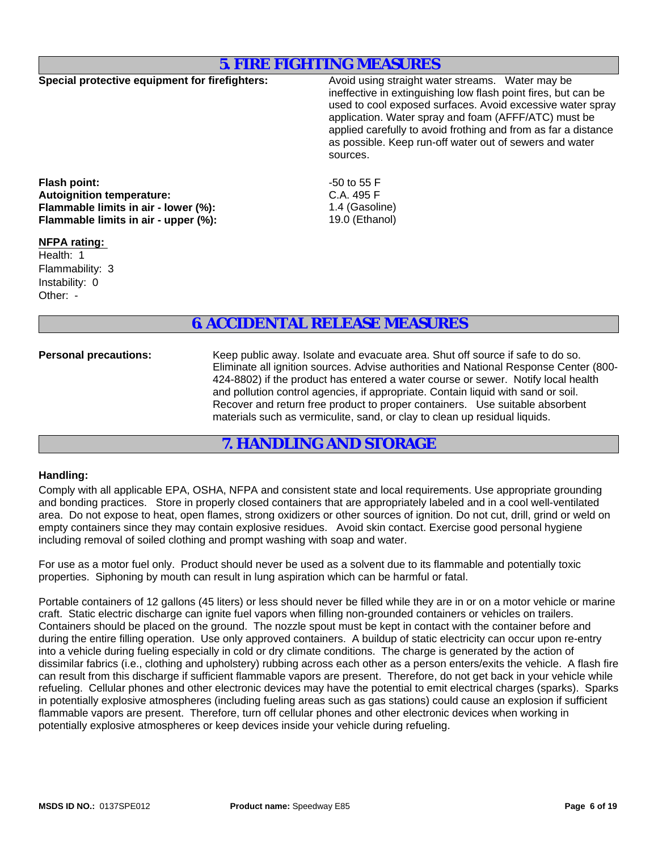## **5. FIRE FIGHTING MEASURES**

**Special protective equipment for firefighters:** Avoid using straight water streams. Water may be ineffective in extinguishing low flash point fires, but can be used to cool exposed surfaces. Avoid excessive water spray application. Water spray and foam (AFFF/ATC) must be applied carefully to avoid frothing and from as far a distance as possible. Keep run-off water out of sewers and water sources.

**Flash point:**<br> **Autoignition temperature:** 
and the set of the set of the SA 495 F<br>
C.A. 495 F **Autoignition temperature: Flammable limits in air - lower (%):**<br> **Flammable limits in air - upper (%):** 19.0 (Ethanol) **Flammable limits in air - upper (%):** 

### **NFPA rating:**

Other: - Flammability: 3 Health: 1 Instability: 0

# **6. ACCIDENTAL RELEASE MEASURES**

**Personal precautions:** Keep public away. Isolate and evacuate area. Shut off source if safe to do so. Eliminate all ignition sources. Advise authorities and National Response Center (800- 424-8802) if the product has entered a water course or sewer. Notify local health and pollution control agencies, if appropriate. Contain liquid with sand or soil. Recover and return free product to proper containers. Use suitable absorbent materials such as vermiculite, sand, or clay to clean up residual liquids.

## **7. HANDLING AND STORAGE**

### **Handling:**

Comply with all applicable EPA, OSHA, NFPA and consistent state and local requirements. Use appropriate grounding and bonding practices. Store in properly closed containers that are appropriately labeled and in a cool well-ventilated area. Do not expose to heat, open flames, strong oxidizers or other sources of ignition. Do not cut, drill, grind or weld on empty containers since they may contain explosive residues. Avoid skin contact. Exercise good personal hygiene including removal of soiled clothing and prompt washing with soap and water.

For use as a motor fuel only. Product should never be used as a solvent due to its flammable and potentially toxic properties. Siphoning by mouth can result in lung aspiration which can be harmful or fatal.

Portable containers of 12 gallons (45 liters) or less should never be filled while they are in or on a motor vehicle or marine craft. Static electric discharge can ignite fuel vapors when filling non-grounded containers or vehicles on trailers. Containers should be placed on the ground. The nozzle spout must be kept in contact with the container before and during the entire filling operation. Use only approved containers. A buildup of static electricity can occur upon re-entry into a vehicle during fueling especially in cold or dry climate conditions. The charge is generated by the action of dissimilar fabrics (i.e., clothing and upholstery) rubbing across each other as a person enters/exits the vehicle. A flash fire can result from this discharge if sufficient flammable vapors are present. Therefore, do not get back in your vehicle while refueling. Cellular phones and other electronic devices may have the potential to emit electrical charges (sparks). Sparks in potentially explosive atmospheres (including fueling areas such as gas stations) could cause an explosion if sufficient flammable vapors are present. Therefore, turn off cellular phones and other electronic devices when working in potentially explosive atmospheres or keep devices inside your vehicle during refueling.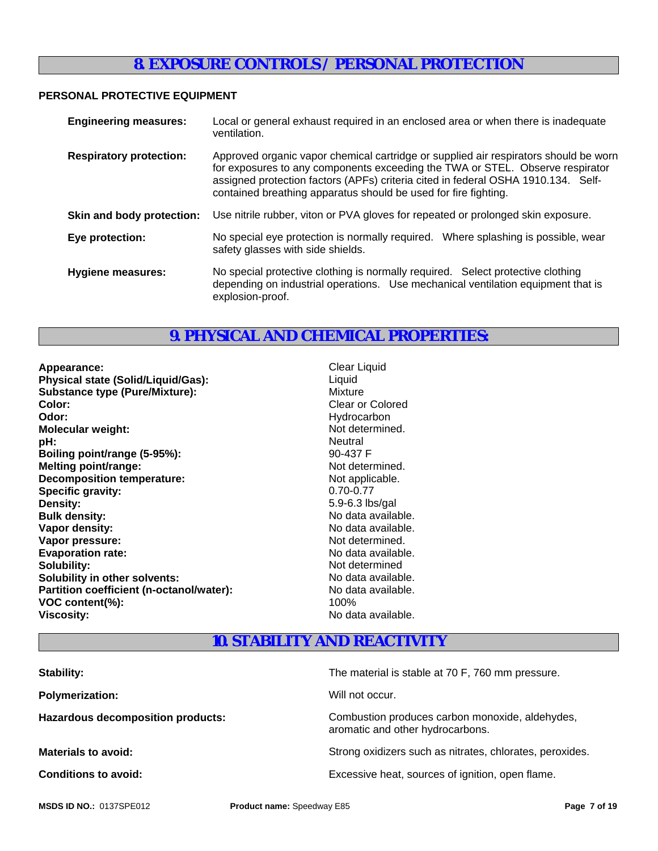# **8. EXPOSURE CONTROLS / PERSONAL PROTECTION**

## **PERSONAL PROTECTIVE EQUIPMENT**

| <b>Engineering measures:</b>   | Local or general exhaust required in an enclosed area or when there is inadequate<br>ventilation.                                                                                                                                                                                                                             |
|--------------------------------|-------------------------------------------------------------------------------------------------------------------------------------------------------------------------------------------------------------------------------------------------------------------------------------------------------------------------------|
| <b>Respiratory protection:</b> | Approved organic vapor chemical cartridge or supplied air respirators should be worn<br>for exposures to any components exceeding the TWA or STEL. Observe respirator<br>assigned protection factors (APFs) criteria cited in federal OSHA 1910.134. Self-<br>contained breathing apparatus should be used for fire fighting. |
| Skin and body protection:      | Use nitrile rubber, viton or PVA gloves for repeated or prolonged skin exposure.                                                                                                                                                                                                                                              |
| Eye protection:                | No special eye protection is normally required. Where splashing is possible, wear<br>safety glasses with side shields.                                                                                                                                                                                                        |
| <b>Hygiene measures:</b>       | No special protective clothing is normally required. Select protective clothing<br>depending on industrial operations. Use mechanical ventilation equipment that is<br>explosion-proof.                                                                                                                                       |

# **9. PHYSICAL AND CHEMICAL PROPERTIES:**

| Appearance:                              | <b>Clear Liquid</b> |
|------------------------------------------|---------------------|
| Physical state (Solid/Liquid/Gas):       | Liquid              |
| <b>Substance type (Pure/Mixture):</b>    | Mixture             |
| Color:                                   | Clear or Colored    |
| Odor:                                    | Hydrocarbon         |
| <b>Molecular weight:</b>                 | Not determined.     |
| pH:                                      | <b>Neutral</b>      |
| Boiling point/range (5-95%):             | 90-437 F            |
| <b>Melting point/range:</b>              | Not determined.     |
| <b>Decomposition temperature:</b>        | Not applicable.     |
| Specific gravity:                        | $0.70 - 0.77$       |
| Density:                                 | 5.9-6.3 lbs/gal     |
| <b>Bulk density:</b>                     | No data available.  |
| Vapor density:                           | No data available.  |
| Vapor pressure:                          | Not determined.     |
| <b>Evaporation rate:</b>                 | No data available.  |
| Solubility:                              | Not determined      |
| Solubility in other solvents:            | No data available.  |
| Partition coefficient (n-octanol/water): | No data available.  |
| VOC content(%):                          | 100%                |
| <b>Viscosity:</b>                        | No data available.  |
|                                          |                     |

- 
- **10. STABILITY AND REACTIVITY**

| The material is stable at 70 F, 760 mm pressure.                                    |
|-------------------------------------------------------------------------------------|
| Will not occur.                                                                     |
| Combustion produces carbon monoxide, aldehydes,<br>aromatic and other hydrocarbons. |
| Strong oxidizers such as nitrates, chlorates, peroxides.                            |
| Excessive heat, sources of ignition, open flame.                                    |
|                                                                                     |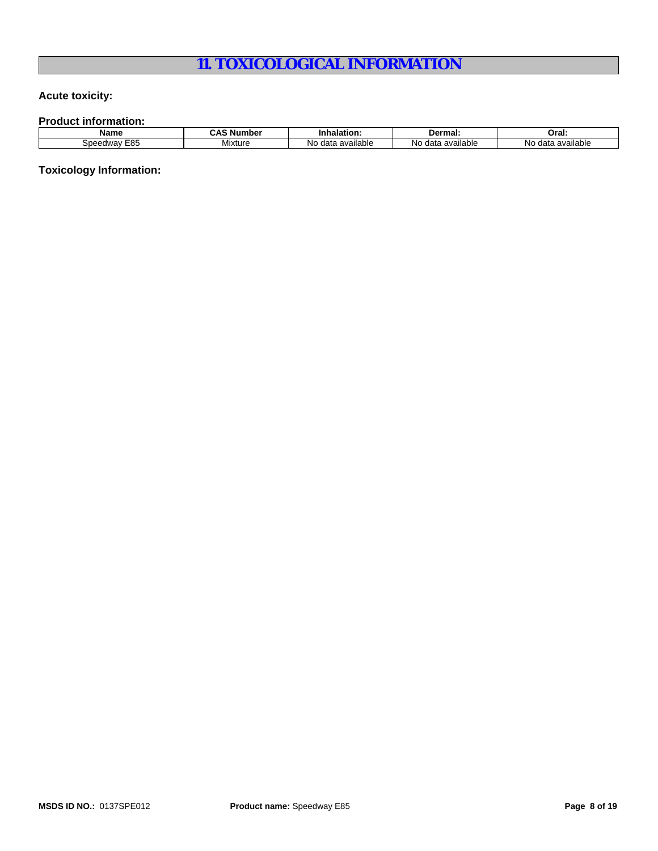# **11. TOXICOLOGICAL INFORMATION**

## **Acute toxicity:**

**Product information:**

| <b>Name</b>                      | Number     | -400L.                                                           | <b>Dermal</b>                 | Oral:                          |
|----------------------------------|------------|------------------------------------------------------------------|-------------------------------|--------------------------------|
| cor<br>-noor<br>.<br>י בי<br>-0. | <br>Mixtur | $\sim$ $\sim$ $\sim$<br>$A^{\sim}$<br>Nıc<br>allabl <del>e</del> | available<br>NC<br>$A^{\sim}$ | . .<br>N٥<br>available<br>dat: |

**Toxicology Information:**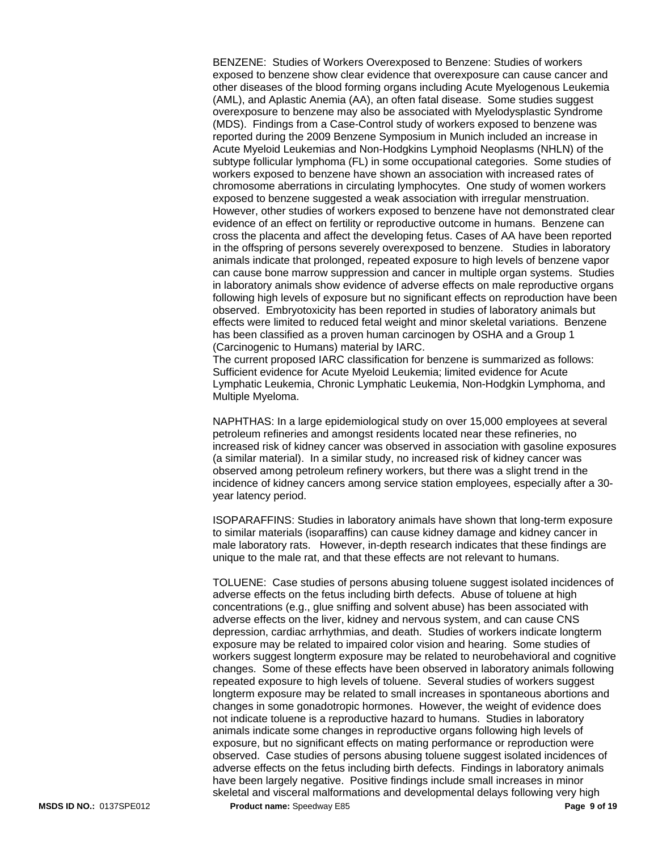BENZENE: Studies of Workers Overexposed to Benzene: Studies of workers exposed to benzene show clear evidence that overexposure can cause cancer and other diseases of the blood forming organs including Acute Myelogenous Leukemia (AML), and Aplastic Anemia (AA), an often fatal disease. Some studies suggest overexposure to benzene may also be associated with Myelodysplastic Syndrome (MDS). Findings from a Case-Control study of workers exposed to benzene was reported during the 2009 Benzene Symposium in Munich included an increase in Acute Myeloid Leukemias and Non-Hodgkins Lymphoid Neoplasms (NHLN) of the subtype follicular lymphoma (FL) in some occupational categories. Some studies of workers exposed to benzene have shown an association with increased rates of chromosome aberrations in circulating lymphocytes. One study of women workers exposed to benzene suggested a weak association with irregular menstruation. However, other studies of workers exposed to benzene have not demonstrated clear evidence of an effect on fertility or reproductive outcome in humans. Benzene can cross the placenta and affect the developing fetus. Cases of AA have been reported in the offspring of persons severely overexposed to benzene. Studies in laboratory animals indicate that prolonged, repeated exposure to high levels of benzene vapor can cause bone marrow suppression and cancer in multiple organ systems. Studies in laboratory animals show evidence of adverse effects on male reproductive organs following high levels of exposure but no significant effects on reproduction have been observed. Embryotoxicity has been reported in studies of laboratory animals but effects were limited to reduced fetal weight and minor skeletal variations. Benzene has been classified as a proven human carcinogen by OSHA and a Group 1 (Carcinogenic to Humans) material by IARC.

The current proposed IARC classification for benzene is summarized as follows: Sufficient evidence for Acute Myeloid Leukemia; limited evidence for Acute Lymphatic Leukemia, Chronic Lymphatic Leukemia, Non-Hodgkin Lymphoma, and Multiple Myeloma.

NAPHTHAS: In a large epidemiological study on over 15,000 employees at several petroleum refineries and amongst residents located near these refineries, no increased risk of kidney cancer was observed in association with gasoline exposures (a similar material). In a similar study, no increased risk of kidney cancer was observed among petroleum refinery workers, but there was a slight trend in the incidence of kidney cancers among service station employees, especially after a 30 year latency period.

ISOPARAFFINS: Studies in laboratory animals have shown that long-term exposure to similar materials (isoparaffins) can cause kidney damage and kidney cancer in male laboratory rats. However, in-depth research indicates that these findings are unique to the male rat, and that these effects are not relevant to humans.

TOLUENE: Case studies of persons abusing toluene suggest isolated incidences of adverse effects on the fetus including birth defects. Abuse of toluene at high concentrations (e.g., glue sniffing and solvent abuse) has been associated with adverse effects on the liver, kidney and nervous system, and can cause CNS depression, cardiac arrhythmias, and death. Studies of workers indicate longterm exposure may be related to impaired color vision and hearing. Some studies of workers suggest longterm exposure may be related to neurobehavioral and cognitive changes. Some of these effects have been observed in laboratory animals following repeated exposure to high levels of toluene. Several studies of workers suggest longterm exposure may be related to small increases in spontaneous abortions and changes in some gonadotropic hormones. However, the weight of evidence does not indicate toluene is a reproductive hazard to humans. Studies in laboratory animals indicate some changes in reproductive organs following high levels of exposure, but no significant effects on mating performance or reproduction were observed. Case studies of persons abusing toluene suggest isolated incidences of adverse effects on the fetus including birth defects. Findings in laboratory animals have been largely negative. Positive findings include small increases in minor skeletal and visceral malformations and developmental delays following very high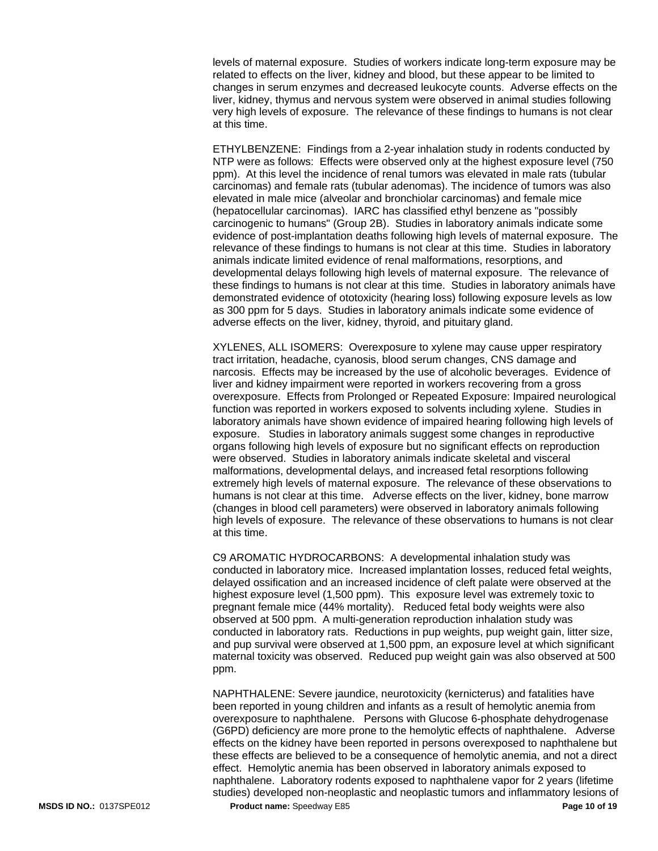levels of maternal exposure. Studies of workers indicate long-term exposure may be related to effects on the liver, kidney and blood, but these appear to be limited to changes in serum enzymes and decreased leukocyte counts. Adverse effects on the liver, kidney, thymus and nervous system were observed in animal studies following very high levels of exposure. The relevance of these findings to humans is not clear at this time.

ETHYLBENZENE: Findings from a 2-year inhalation study in rodents conducted by NTP were as follows: Effects were observed only at the highest exposure level (750 ppm). At this level the incidence of renal tumors was elevated in male rats (tubular carcinomas) and female rats (tubular adenomas). The incidence of tumors was also elevated in male mice (alveolar and bronchiolar carcinomas) and female mice (hepatocellular carcinomas). IARC has classified ethyl benzene as "possibly carcinogenic to humans" (Group 2B). Studies in laboratory animals indicate some evidence of post-implantation deaths following high levels of maternal exposure. The relevance of these findings to humans is not clear at this time. Studies in laboratory animals indicate limited evidence of renal malformations, resorptions, and developmental delays following high levels of maternal exposure. The relevance of these findings to humans is not clear at this time. Studies in laboratory animals have demonstrated evidence of ototoxicity (hearing loss) following exposure levels as low as 300 ppm for 5 days. Studies in laboratory animals indicate some evidence of adverse effects on the liver, kidney, thyroid, and pituitary gland.

XYLENES, ALL ISOMERS: Overexposure to xylene may cause upper respiratory tract irritation, headache, cyanosis, blood serum changes, CNS damage and narcosis. Effects may be increased by the use of alcoholic beverages. Evidence of liver and kidney impairment were reported in workers recovering from a gross overexposure. Effects from Prolonged or Repeated Exposure: Impaired neurological function was reported in workers exposed to solvents including xylene. Studies in laboratory animals have shown evidence of impaired hearing following high levels of exposure. Studies in laboratory animals suggest some changes in reproductive organs following high levels of exposure but no significant effects on reproduction were observed. Studies in laboratory animals indicate skeletal and visceral malformations, developmental delays, and increased fetal resorptions following extremely high levels of maternal exposure. The relevance of these observations to humans is not clear at this time. Adverse effects on the liver, kidney, bone marrow (changes in blood cell parameters) were observed in laboratory animals following high levels of exposure. The relevance of these observations to humans is not clear at this time.

C9 AROMATIC HYDROCARBONS: A developmental inhalation study was conducted in laboratory mice. Increased implantation losses, reduced fetal weights, delayed ossification and an increased incidence of cleft palate were observed at the highest exposure level (1,500 ppm). This exposure level was extremely toxic to pregnant female mice (44% mortality). Reduced fetal body weights were also observed at 500 ppm. A multi-generation reproduction inhalation study was conducted in laboratory rats. Reductions in pup weights, pup weight gain, litter size, and pup survival were observed at 1,500 ppm, an exposure level at which significant maternal toxicity was observed. Reduced pup weight gain was also observed at 500 ppm.

NAPHTHALENE: Severe jaundice, neurotoxicity (kernicterus) and fatalities have been reported in young children and infants as a result of hemolytic anemia from overexposure to naphthalene. Persons with Glucose 6-phosphate dehydrogenase (G6PD) deficiency are more prone to the hemolytic effects of naphthalene. Adverse effects on the kidney have been reported in persons overexposed to naphthalene but these effects are believed to be a consequence of hemolytic anemia, and not a direct effect. Hemolytic anemia has been observed in laboratory animals exposed to naphthalene. Laboratory rodents exposed to naphthalene vapor for 2 years (lifetime studies) developed non-neoplastic and neoplastic tumors and inflammatory lesions of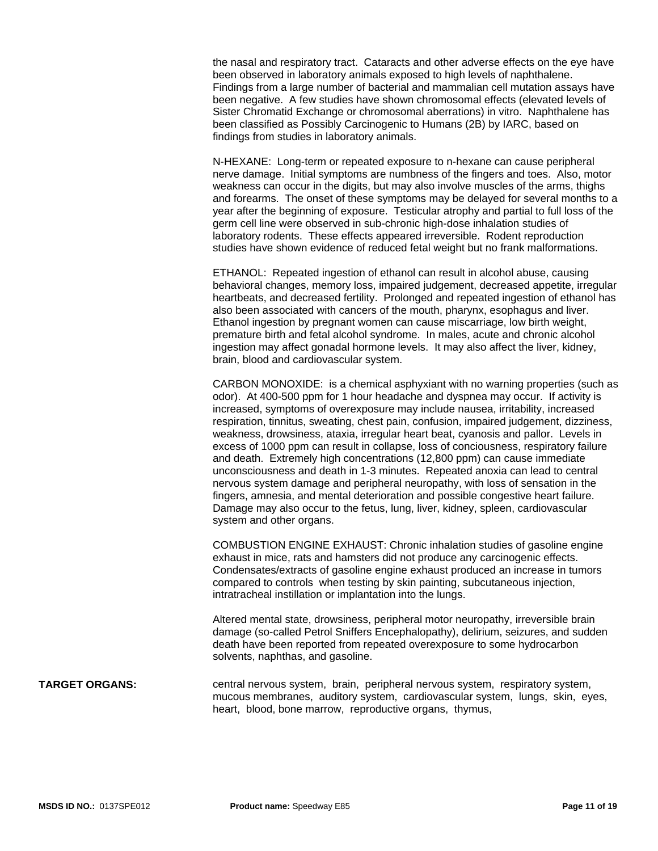the nasal and respiratory tract. Cataracts and other adverse effects on the eye have been observed in laboratory animals exposed to high levels of naphthalene. Findings from a large number of bacterial and mammalian cell mutation assays have been negative. A few studies have shown chromosomal effects (elevated levels of Sister Chromatid Exchange or chromosomal aberrations) in vitro. Naphthalene has been classified as Possibly Carcinogenic to Humans (2B) by IARC, based on findings from studies in laboratory animals.

N-HEXANE: Long-term or repeated exposure to n-hexane can cause peripheral nerve damage. Initial symptoms are numbness of the fingers and toes. Also, motor weakness can occur in the digits, but may also involve muscles of the arms, thighs and forearms. The onset of these symptoms may be delayed for several months to a year after the beginning of exposure. Testicular atrophy and partial to full loss of the germ cell line were observed in sub-chronic high-dose inhalation studies of laboratory rodents. These effects appeared irreversible. Rodent reproduction studies have shown evidence of reduced fetal weight but no frank malformations.

ETHANOL: Repeated ingestion of ethanol can result in alcohol abuse, causing behavioral changes, memory loss, impaired judgement, decreased appetite, irregular heartbeats, and decreased fertility. Prolonged and repeated ingestion of ethanol has also been associated with cancers of the mouth, pharynx, esophagus and liver. Ethanol ingestion by pregnant women can cause miscarriage, low birth weight, premature birth and fetal alcohol syndrome. In males, acute and chronic alcohol ingestion may affect gonadal hormone levels. It may also affect the liver, kidney, brain, blood and cardiovascular system.

CARBON MONOXIDE: is a chemical asphyxiant with no warning properties (such as odor). At 400-500 ppm for 1 hour headache and dyspnea may occur. If activity is increased, symptoms of overexposure may include nausea, irritability, increased respiration, tinnitus, sweating, chest pain, confusion, impaired judgement, dizziness, weakness, drowsiness, ataxia, irregular heart beat, cyanosis and pallor. Levels in excess of 1000 ppm can result in collapse, loss of conciousness, respiratory failure and death. Extremely high concentrations (12,800 ppm) can cause immediate unconsciousness and death in 1-3 minutes. Repeated anoxia can lead to central nervous system damage and peripheral neuropathy, with loss of sensation in the fingers, amnesia, and mental deterioration and possible congestive heart failure. Damage may also occur to the fetus, lung, liver, kidney, spleen, cardiovascular system and other organs.

COMBUSTION ENGINE EXHAUST: Chronic inhalation studies of gasoline engine exhaust in mice, rats and hamsters did not produce any carcinogenic effects. Condensates/extracts of gasoline engine exhaust produced an increase in tumors compared to controls when testing by skin painting, subcutaneous injection, intratracheal instillation or implantation into the lungs.

Altered mental state, drowsiness, peripheral motor neuropathy, irreversible brain damage (so-called Petrol Sniffers Encephalopathy), delirium, seizures, and sudden death have been reported from repeated overexposure to some hydrocarbon solvents, naphthas, and gasoline.

#### **TARGET ORGANS:** central nervous system, brain, peripheral nervous system, respiratory system, mucous membranes, auditory system, cardiovascular system, lungs, skin, eyes, heart, blood, bone marrow, reproductive organs, thymus,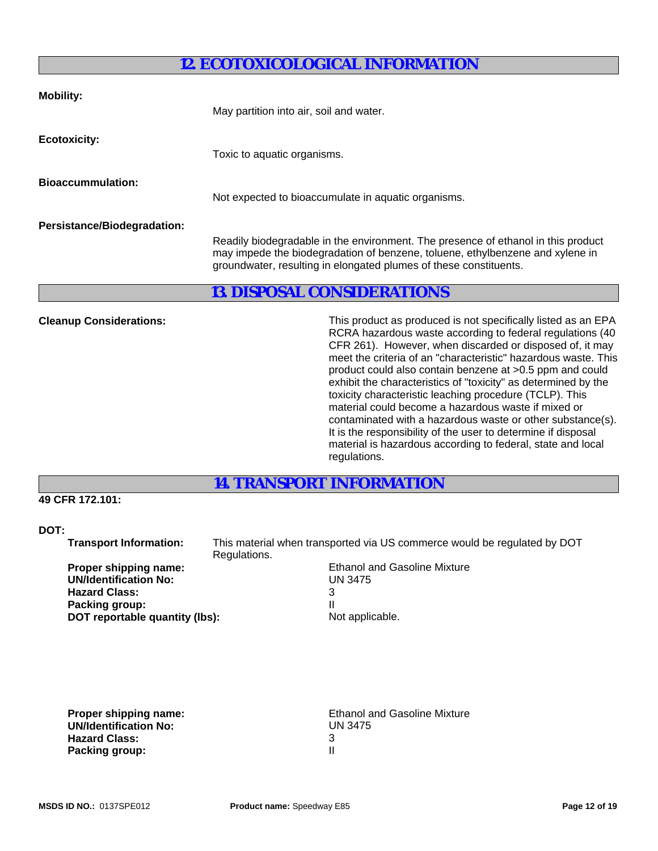# **12. ECOTOXICOLOGICAL INFORMATION**

| <b>Mobility:</b>               | May partition into air, soil and water.<br>Toxic to aquatic organisms.                                                                                                                                                                                                                                                                                                                                                                                                                                   |  |
|--------------------------------|----------------------------------------------------------------------------------------------------------------------------------------------------------------------------------------------------------------------------------------------------------------------------------------------------------------------------------------------------------------------------------------------------------------------------------------------------------------------------------------------------------|--|
| <b>Ecotoxicity:</b>            |                                                                                                                                                                                                                                                                                                                                                                                                                                                                                                          |  |
| <b>Bioaccummulation:</b>       | Not expected to bioaccumulate in aquatic organisms.                                                                                                                                                                                                                                                                                                                                                                                                                                                      |  |
| Persistance/Biodegradation:    | Readily biodegradable in the environment. The presence of ethanol in this product<br>may impede the biodegradation of benzene, toluene, ethylbenzene and xylene in<br>groundwater, resulting in elongated plumes of these constituents.                                                                                                                                                                                                                                                                  |  |
|                                | <b>13. DISPOSAL CONSIDERATIONS</b>                                                                                                                                                                                                                                                                                                                                                                                                                                                                       |  |
| <b>Cleanup Considerations:</b> | This product as produced is not specifically listed as an EPA<br>RCRA hazardous waste according to federal regulations (40<br>CFR 261). However, when discarded or disposed of, it may<br>meet the criteria of an "characteristic" hazardous waste. This<br>product could also contain benzene at >0.5 ppm and could<br>exhibit the characteristics of "toxicity" as determined by the<br>toxicity characteristic leaching procedure (TCLP). This<br>material could become a hazardous waste if mixed or |  |

contaminated with a hazardous waste or other substance(s). It is the responsibility of the user to determine if disposal material is hazardous according to federal, state and local regulations.

# **14. TRANSPORT INFORMATION**

## **49 CFR 172.101:**

## **DOT:**

 **Transport Information:** This material when transported via US commerce would be regulated by DOT Regulations. **Proper shipping name:** The Section of Ethanol and Gasoline Mixture **UN/Identification No:** UN 3475 **Hazard Class:** 3 **Packing group:** II<br> **DOT reportable quantity (Ibs):** Not applicable. **DOT reportable quantity (lbs):** 

**UN/Identification No:** UNIVERSITY OF THE UNIT OF THE UNIT OF THE UNIT OF THE UNIT OF THE UNIT OF THE UNIT OF THE UNIT OF THE UNIT OF THE UNIT OF THE UNIT OF THE UNIT OF THE UNIT OF THE UNIT OF THE UNIT OF THE UNIT OF THE  **Hazard Class:** 3 **Packing group:** 

**Proper shipping name:**<br> **UN/Identification No:**<br>
UN 3475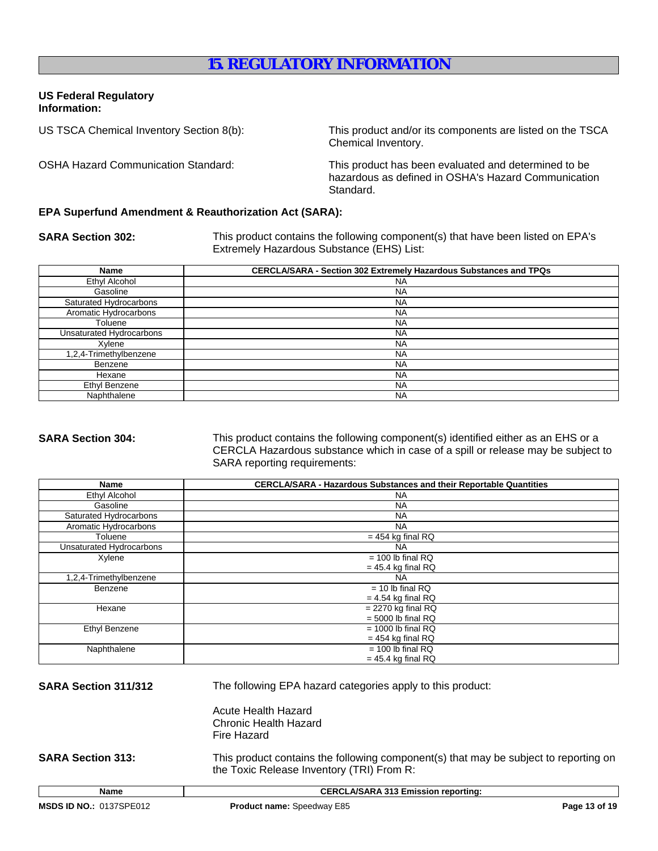# **15. REGULATORY INFORMATION**

### **US Federal Regulatory Information:**

US TSCA Chemical Inventory Section 8(b): This product and/or its components are listed on the TSCA Chemical Inventory.

OSHA Hazard Communication Standard: This product has been evaluated and determined to be hazardous as defined in OSHA's Hazard Communication Standard.

### **EPA Superfund Amendment & Reauthorization Act (SARA):**

**SARA Section 302:** This product contains the following component(s) that have been listed on EPA's Extremely Hazardous Substance (EHS) List:

| Name                     | <b>CERCLA/SARA - Section 302 Extremely Hazardous Substances and TPQs</b> |
|--------------------------|--------------------------------------------------------------------------|
| Ethyl Alcohol            | <b>NA</b>                                                                |
| Gasoline                 | <b>NA</b>                                                                |
| Saturated Hydrocarbons   | <b>NA</b>                                                                |
| Aromatic Hydrocarbons    | <b>NA</b>                                                                |
| Toluene                  | <b>NA</b>                                                                |
| Unsaturated Hydrocarbons | <b>NA</b>                                                                |
| Xylene                   | <b>NA</b>                                                                |
| 1,2,4-Trimethylbenzene   | <b>NA</b>                                                                |
| Benzene                  | <b>NA</b>                                                                |
| Hexane                   | <b>NA</b>                                                                |
| Ethyl Benzene            | <b>NA</b>                                                                |
| Naphthalene              | <b>NA</b>                                                                |

**SARA Section 304:** This product contains the following component(s) identified either as an EHS or a CERCLA Hazardous substance which in case of a spill or release may be subject to SARA reporting requirements:

| Name                     | <b>CERCLA/SARA - Hazardous Substances and their Reportable Quantities</b> |  |
|--------------------------|---------------------------------------------------------------------------|--|
| Ethyl Alcohol            | <b>NA</b>                                                                 |  |
| Gasoline                 | <b>NA</b>                                                                 |  |
| Saturated Hydrocarbons   | <b>NA</b>                                                                 |  |
| Aromatic Hydrocarbons    | <b>NA</b>                                                                 |  |
| Toluene                  | $= 454$ kg final RQ                                                       |  |
| Unsaturated Hydrocarbons | NA.                                                                       |  |
| Xylene                   | $= 100$ lb final RQ                                                       |  |
|                          | $= 45.4$ kg final RQ                                                      |  |
| 1,2,4-Trimethylbenzene   | NA.                                                                       |  |
| Benzene                  | $= 10$ lb final RQ                                                        |  |
|                          | $= 4.54$ kg final RQ                                                      |  |
| Hexane                   | $= 2270$ kg final RQ                                                      |  |
|                          | $= 5000$ lb final RQ                                                      |  |
| <b>Ethyl Benzene</b>     | $= 1000$ lb final RQ                                                      |  |
|                          | $= 454$ kg final RQ                                                       |  |
| Naphthalene              | $= 100$ lb final RQ                                                       |  |
|                          | $= 45.4$ kg final RQ                                                      |  |

**SARA Section 311/312** The following EPA hazard categories apply to this product:

Acute Health Hazard Chronic Health Hazard Fire Hazard

**SARA Section 313:** This product contains the following component(s) that may be subject to reporting on the Toxic Release Inventory (TRI) From R: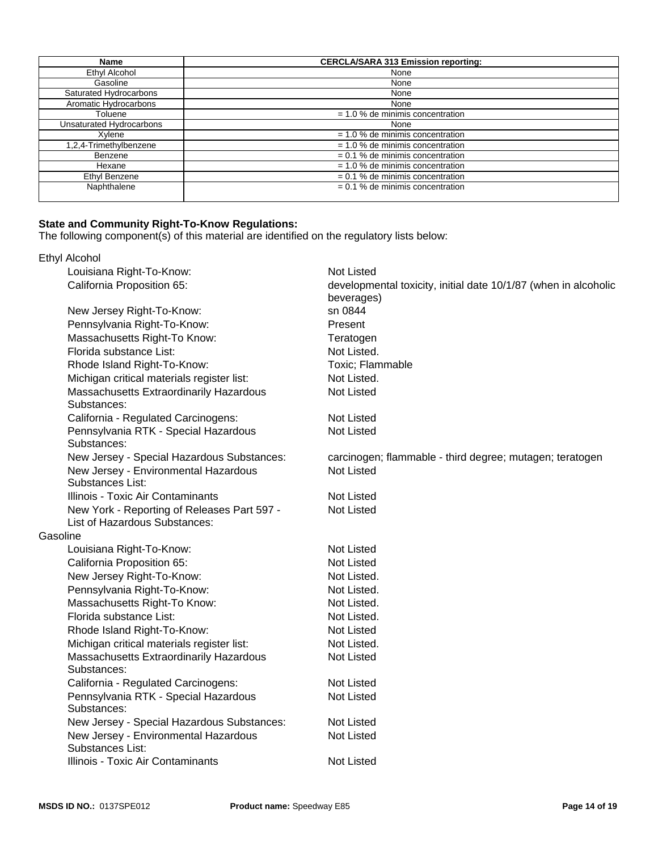| <b>Name</b>              | <b>CERCLA/SARA 313 Emission reporting:</b> |  |
|--------------------------|--------------------------------------------|--|
| Ethyl Alcohol            | None                                       |  |
| Gasoline                 | None                                       |  |
| Saturated Hydrocarbons   | None                                       |  |
| Aromatic Hydrocarbons    | None                                       |  |
| Toluene                  | $= 1.0$ % de minimis concentration         |  |
| Unsaturated Hydrocarbons | None                                       |  |
| Xvlene                   | $= 1.0 %$ de minimis concentration         |  |
| 1,2,4-Trimethylbenzene   | $= 1.0$ % de minimis concentration         |  |
| Benzene                  | $= 0.1$ % de minimis concentration         |  |
| Hexane                   | $= 1.0$ % de minimis concentration         |  |
| Ethyl Benzene            | $= 0.1$ % de minimis concentration         |  |
| Naphthalene              | $= 0.1$ % de minimis concentration         |  |

### **State and Community Right-To-Know Regulations:**

The following component(s) of this material are identified on the regulatory lists below:

|          | <b>Ethyl Alcohol</b>                                     |                                                                               |
|----------|----------------------------------------------------------|-------------------------------------------------------------------------------|
|          | Louisiana Right-To-Know:                                 | <b>Not Listed</b>                                                             |
|          | California Proposition 65:                               | developmental toxicity, initial date 10/1/87 (when in alcoholic<br>beverages) |
|          | New Jersey Right-To-Know:                                | sn 0844                                                                       |
|          | Pennsylvania Right-To-Know:                              | Present                                                                       |
|          | Massachusetts Right-To Know:                             | Teratogen                                                                     |
|          | Florida substance List:                                  | Not Listed.                                                                   |
|          | Rhode Island Right-To-Know:                              | Toxic; Flammable                                                              |
|          | Michigan critical materials register list:               | Not Listed.                                                                   |
|          | Massachusetts Extraordinarily Hazardous<br>Substances:   | <b>Not Listed</b>                                                             |
|          | California - Regulated Carcinogens:                      | <b>Not Listed</b>                                                             |
|          | Pennsylvania RTK - Special Hazardous<br>Substances:      | <b>Not Listed</b>                                                             |
|          | New Jersey - Special Hazardous Substances:               | carcinogen; flammable - third degree; mutagen; teratogen                      |
|          | New Jersey - Environmental Hazardous                     | Not Listed                                                                    |
|          | Substances List:                                         |                                                                               |
|          | Illinois - Toxic Air Contaminants                        | <b>Not Listed</b>                                                             |
|          | New York - Reporting of Releases Part 597 -              | <b>Not Listed</b>                                                             |
|          | List of Hazardous Substances:                            |                                                                               |
| Gasoline |                                                          |                                                                               |
|          | Louisiana Right-To-Know:                                 | <b>Not Listed</b>                                                             |
|          | California Proposition 65:                               | <b>Not Listed</b>                                                             |
|          | New Jersey Right-To-Know:                                | Not Listed.                                                                   |
|          | Pennsylvania Right-To-Know:                              | Not Listed.                                                                   |
|          | Massachusetts Right-To Know:                             | Not Listed.                                                                   |
|          | Florida substance List:                                  | Not Listed.                                                                   |
|          | Rhode Island Right-To-Know:                              | <b>Not Listed</b>                                                             |
|          | Michigan critical materials register list:               | Not Listed.                                                                   |
|          | Massachusetts Extraordinarily Hazardous<br>Substances:   | <b>Not Listed</b>                                                             |
|          | California - Regulated Carcinogens:                      | <b>Not Listed</b>                                                             |
|          | Pennsylvania RTK - Special Hazardous<br>Substances:      | <b>Not Listed</b>                                                             |
|          | New Jersey - Special Hazardous Substances:               | <b>Not Listed</b>                                                             |
|          | New Jersey - Environmental Hazardous<br>Substances List: | <b>Not Listed</b>                                                             |
|          | Illinois - Toxic Air Contaminants                        | <b>Not Listed</b>                                                             |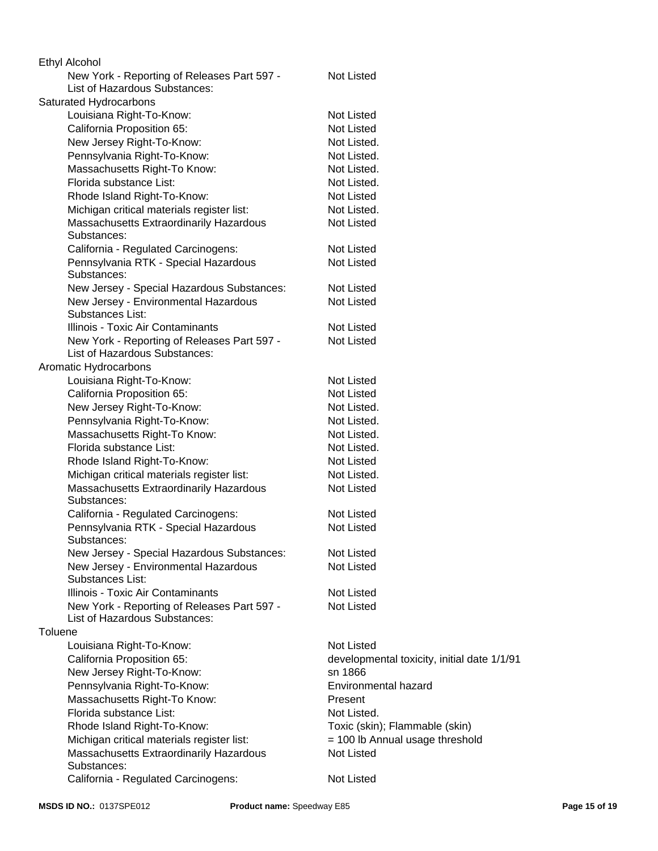| New York - Reporting of Releases Part 597 -<br><b>Not Listed</b><br>List of Hazardous Substances:<br>Saturated Hydrocarbons<br><b>Not Listed</b><br>Louisiana Right-To-Know:<br>California Proposition 65:<br><b>Not Listed</b><br>New Jersey Right-To-Know:<br>Not Listed.<br>Pennsylvania Right-To-Know:<br>Not Listed.<br>Massachusetts Right-To Know:<br>Not Listed.<br>Florida substance List:<br>Not Listed.<br>Rhode Island Right-To-Know:<br>Not Listed<br>Michigan critical materials register list:<br>Not Listed.<br>Massachusetts Extraordinarily Hazardous<br><b>Not Listed</b><br>Substances:<br>California - Regulated Carcinogens:<br>Not Listed<br>Pennsylvania RTK - Special Hazardous<br><b>Not Listed</b><br>Substances:<br>New Jersey - Special Hazardous Substances:<br><b>Not Listed</b><br><b>Not Listed</b><br>New Jersey - Environmental Hazardous<br>Substances List:<br>Illinois - Toxic Air Contaminants<br><b>Not Listed</b><br><b>Not Listed</b><br>New York - Reporting of Releases Part 597 -<br>List of Hazardous Substances:<br>Aromatic Hydrocarbons<br><b>Not Listed</b><br>Louisiana Right-To-Know:<br>California Proposition 65:<br><b>Not Listed</b><br>New Jersey Right-To-Know:<br>Not Listed.<br>Pennsylvania Right-To-Know:<br>Not Listed.<br>Massachusetts Right-To Know:<br>Not Listed.<br>Florida substance List:<br>Not Listed.<br>Rhode Island Right-To-Know:<br><b>Not Listed</b><br>Michigan critical materials register list:<br>Not Listed.<br>Massachusetts Extraordinarily Hazardous<br>Not Listed<br>Substances:<br><b>Not Listed</b><br>California - Regulated Carcinogens:<br>Pennsylvania RTK - Special Hazardous<br><b>Not Listed</b><br>Substances:<br><b>Not Listed</b><br>New Jersey - Special Hazardous Substances:<br>New Jersey - Environmental Hazardous<br>Not Listed<br>Substances List:<br>Illinois - Toxic Air Contaminants<br><b>Not Listed</b><br><b>Not Listed</b><br>New York - Reporting of Releases Part 597 -<br>List of Hazardous Substances:<br>Toluene<br><b>Not Listed</b><br>Louisiana Right-To-Know:<br>California Proposition 65:<br>developmental toxicity, initial date 1/1/91<br>New Jersey Right-To-Know:<br>sn 1866<br>Pennsylvania Right-To-Know:<br><b>Environmental hazard</b><br>Massachusetts Right-To Know:<br>Present<br>Florida substance List:<br>Not Listed.<br>Rhode Island Right-To-Know:<br>Toxic (skin); Flammable (skin)<br>Michigan critical materials register list:<br>= 100 lb Annual usage threshold<br>Not Listed<br>Massachusetts Extraordinarily Hazardous<br>Substances: | Ethyl Alcohol                       |            |
|--------------------------------------------------------------------------------------------------------------------------------------------------------------------------------------------------------------------------------------------------------------------------------------------------------------------------------------------------------------------------------------------------------------------------------------------------------------------------------------------------------------------------------------------------------------------------------------------------------------------------------------------------------------------------------------------------------------------------------------------------------------------------------------------------------------------------------------------------------------------------------------------------------------------------------------------------------------------------------------------------------------------------------------------------------------------------------------------------------------------------------------------------------------------------------------------------------------------------------------------------------------------------------------------------------------------------------------------------------------------------------------------------------------------------------------------------------------------------------------------------------------------------------------------------------------------------------------------------------------------------------------------------------------------------------------------------------------------------------------------------------------------------------------------------------------------------------------------------------------------------------------------------------------------------------------------------------------------------------------------------------------------------------------------------------------------------------------------------------------------------------------------------------------------------------------------------------------------------------------------------------------------------------------------------------------------------------------------------------------------------------------------------------------------------------------------------------------------------------------------------------------------------------------------------------------------------------------------|-------------------------------------|------------|
|                                                                                                                                                                                                                                                                                                                                                                                                                                                                                                                                                                                                                                                                                                                                                                                                                                                                                                                                                                                                                                                                                                                                                                                                                                                                                                                                                                                                                                                                                                                                                                                                                                                                                                                                                                                                                                                                                                                                                                                                                                                                                                                                                                                                                                                                                                                                                                                                                                                                                                                                                                                            |                                     |            |
|                                                                                                                                                                                                                                                                                                                                                                                                                                                                                                                                                                                                                                                                                                                                                                                                                                                                                                                                                                                                                                                                                                                                                                                                                                                                                                                                                                                                                                                                                                                                                                                                                                                                                                                                                                                                                                                                                                                                                                                                                                                                                                                                                                                                                                                                                                                                                                                                                                                                                                                                                                                            |                                     |            |
|                                                                                                                                                                                                                                                                                                                                                                                                                                                                                                                                                                                                                                                                                                                                                                                                                                                                                                                                                                                                                                                                                                                                                                                                                                                                                                                                                                                                                                                                                                                                                                                                                                                                                                                                                                                                                                                                                                                                                                                                                                                                                                                                                                                                                                                                                                                                                                                                                                                                                                                                                                                            |                                     |            |
|                                                                                                                                                                                                                                                                                                                                                                                                                                                                                                                                                                                                                                                                                                                                                                                                                                                                                                                                                                                                                                                                                                                                                                                                                                                                                                                                                                                                                                                                                                                                                                                                                                                                                                                                                                                                                                                                                                                                                                                                                                                                                                                                                                                                                                                                                                                                                                                                                                                                                                                                                                                            |                                     |            |
|                                                                                                                                                                                                                                                                                                                                                                                                                                                                                                                                                                                                                                                                                                                                                                                                                                                                                                                                                                                                                                                                                                                                                                                                                                                                                                                                                                                                                                                                                                                                                                                                                                                                                                                                                                                                                                                                                                                                                                                                                                                                                                                                                                                                                                                                                                                                                                                                                                                                                                                                                                                            |                                     |            |
|                                                                                                                                                                                                                                                                                                                                                                                                                                                                                                                                                                                                                                                                                                                                                                                                                                                                                                                                                                                                                                                                                                                                                                                                                                                                                                                                                                                                                                                                                                                                                                                                                                                                                                                                                                                                                                                                                                                                                                                                                                                                                                                                                                                                                                                                                                                                                                                                                                                                                                                                                                                            |                                     |            |
|                                                                                                                                                                                                                                                                                                                                                                                                                                                                                                                                                                                                                                                                                                                                                                                                                                                                                                                                                                                                                                                                                                                                                                                                                                                                                                                                                                                                                                                                                                                                                                                                                                                                                                                                                                                                                                                                                                                                                                                                                                                                                                                                                                                                                                                                                                                                                                                                                                                                                                                                                                                            |                                     |            |
|                                                                                                                                                                                                                                                                                                                                                                                                                                                                                                                                                                                                                                                                                                                                                                                                                                                                                                                                                                                                                                                                                                                                                                                                                                                                                                                                                                                                                                                                                                                                                                                                                                                                                                                                                                                                                                                                                                                                                                                                                                                                                                                                                                                                                                                                                                                                                                                                                                                                                                                                                                                            |                                     |            |
|                                                                                                                                                                                                                                                                                                                                                                                                                                                                                                                                                                                                                                                                                                                                                                                                                                                                                                                                                                                                                                                                                                                                                                                                                                                                                                                                                                                                                                                                                                                                                                                                                                                                                                                                                                                                                                                                                                                                                                                                                                                                                                                                                                                                                                                                                                                                                                                                                                                                                                                                                                                            |                                     |            |
|                                                                                                                                                                                                                                                                                                                                                                                                                                                                                                                                                                                                                                                                                                                                                                                                                                                                                                                                                                                                                                                                                                                                                                                                                                                                                                                                                                                                                                                                                                                                                                                                                                                                                                                                                                                                                                                                                                                                                                                                                                                                                                                                                                                                                                                                                                                                                                                                                                                                                                                                                                                            |                                     |            |
|                                                                                                                                                                                                                                                                                                                                                                                                                                                                                                                                                                                                                                                                                                                                                                                                                                                                                                                                                                                                                                                                                                                                                                                                                                                                                                                                                                                                                                                                                                                                                                                                                                                                                                                                                                                                                                                                                                                                                                                                                                                                                                                                                                                                                                                                                                                                                                                                                                                                                                                                                                                            |                                     |            |
|                                                                                                                                                                                                                                                                                                                                                                                                                                                                                                                                                                                                                                                                                                                                                                                                                                                                                                                                                                                                                                                                                                                                                                                                                                                                                                                                                                                                                                                                                                                                                                                                                                                                                                                                                                                                                                                                                                                                                                                                                                                                                                                                                                                                                                                                                                                                                                                                                                                                                                                                                                                            |                                     |            |
|                                                                                                                                                                                                                                                                                                                                                                                                                                                                                                                                                                                                                                                                                                                                                                                                                                                                                                                                                                                                                                                                                                                                                                                                                                                                                                                                                                                                                                                                                                                                                                                                                                                                                                                                                                                                                                                                                                                                                                                                                                                                                                                                                                                                                                                                                                                                                                                                                                                                                                                                                                                            |                                     |            |
|                                                                                                                                                                                                                                                                                                                                                                                                                                                                                                                                                                                                                                                                                                                                                                                                                                                                                                                                                                                                                                                                                                                                                                                                                                                                                                                                                                                                                                                                                                                                                                                                                                                                                                                                                                                                                                                                                                                                                                                                                                                                                                                                                                                                                                                                                                                                                                                                                                                                                                                                                                                            |                                     |            |
|                                                                                                                                                                                                                                                                                                                                                                                                                                                                                                                                                                                                                                                                                                                                                                                                                                                                                                                                                                                                                                                                                                                                                                                                                                                                                                                                                                                                                                                                                                                                                                                                                                                                                                                                                                                                                                                                                                                                                                                                                                                                                                                                                                                                                                                                                                                                                                                                                                                                                                                                                                                            |                                     |            |
|                                                                                                                                                                                                                                                                                                                                                                                                                                                                                                                                                                                                                                                                                                                                                                                                                                                                                                                                                                                                                                                                                                                                                                                                                                                                                                                                                                                                                                                                                                                                                                                                                                                                                                                                                                                                                                                                                                                                                                                                                                                                                                                                                                                                                                                                                                                                                                                                                                                                                                                                                                                            |                                     |            |
|                                                                                                                                                                                                                                                                                                                                                                                                                                                                                                                                                                                                                                                                                                                                                                                                                                                                                                                                                                                                                                                                                                                                                                                                                                                                                                                                                                                                                                                                                                                                                                                                                                                                                                                                                                                                                                                                                                                                                                                                                                                                                                                                                                                                                                                                                                                                                                                                                                                                                                                                                                                            |                                     |            |
|                                                                                                                                                                                                                                                                                                                                                                                                                                                                                                                                                                                                                                                                                                                                                                                                                                                                                                                                                                                                                                                                                                                                                                                                                                                                                                                                                                                                                                                                                                                                                                                                                                                                                                                                                                                                                                                                                                                                                                                                                                                                                                                                                                                                                                                                                                                                                                                                                                                                                                                                                                                            |                                     |            |
|                                                                                                                                                                                                                                                                                                                                                                                                                                                                                                                                                                                                                                                                                                                                                                                                                                                                                                                                                                                                                                                                                                                                                                                                                                                                                                                                                                                                                                                                                                                                                                                                                                                                                                                                                                                                                                                                                                                                                                                                                                                                                                                                                                                                                                                                                                                                                                                                                                                                                                                                                                                            |                                     |            |
|                                                                                                                                                                                                                                                                                                                                                                                                                                                                                                                                                                                                                                                                                                                                                                                                                                                                                                                                                                                                                                                                                                                                                                                                                                                                                                                                                                                                                                                                                                                                                                                                                                                                                                                                                                                                                                                                                                                                                                                                                                                                                                                                                                                                                                                                                                                                                                                                                                                                                                                                                                                            |                                     |            |
|                                                                                                                                                                                                                                                                                                                                                                                                                                                                                                                                                                                                                                                                                                                                                                                                                                                                                                                                                                                                                                                                                                                                                                                                                                                                                                                                                                                                                                                                                                                                                                                                                                                                                                                                                                                                                                                                                                                                                                                                                                                                                                                                                                                                                                                                                                                                                                                                                                                                                                                                                                                            |                                     |            |
|                                                                                                                                                                                                                                                                                                                                                                                                                                                                                                                                                                                                                                                                                                                                                                                                                                                                                                                                                                                                                                                                                                                                                                                                                                                                                                                                                                                                                                                                                                                                                                                                                                                                                                                                                                                                                                                                                                                                                                                                                                                                                                                                                                                                                                                                                                                                                                                                                                                                                                                                                                                            |                                     |            |
|                                                                                                                                                                                                                                                                                                                                                                                                                                                                                                                                                                                                                                                                                                                                                                                                                                                                                                                                                                                                                                                                                                                                                                                                                                                                                                                                                                                                                                                                                                                                                                                                                                                                                                                                                                                                                                                                                                                                                                                                                                                                                                                                                                                                                                                                                                                                                                                                                                                                                                                                                                                            |                                     |            |
|                                                                                                                                                                                                                                                                                                                                                                                                                                                                                                                                                                                                                                                                                                                                                                                                                                                                                                                                                                                                                                                                                                                                                                                                                                                                                                                                                                                                                                                                                                                                                                                                                                                                                                                                                                                                                                                                                                                                                                                                                                                                                                                                                                                                                                                                                                                                                                                                                                                                                                                                                                                            |                                     |            |
|                                                                                                                                                                                                                                                                                                                                                                                                                                                                                                                                                                                                                                                                                                                                                                                                                                                                                                                                                                                                                                                                                                                                                                                                                                                                                                                                                                                                                                                                                                                                                                                                                                                                                                                                                                                                                                                                                                                                                                                                                                                                                                                                                                                                                                                                                                                                                                                                                                                                                                                                                                                            |                                     |            |
|                                                                                                                                                                                                                                                                                                                                                                                                                                                                                                                                                                                                                                                                                                                                                                                                                                                                                                                                                                                                                                                                                                                                                                                                                                                                                                                                                                                                                                                                                                                                                                                                                                                                                                                                                                                                                                                                                                                                                                                                                                                                                                                                                                                                                                                                                                                                                                                                                                                                                                                                                                                            |                                     |            |
|                                                                                                                                                                                                                                                                                                                                                                                                                                                                                                                                                                                                                                                                                                                                                                                                                                                                                                                                                                                                                                                                                                                                                                                                                                                                                                                                                                                                                                                                                                                                                                                                                                                                                                                                                                                                                                                                                                                                                                                                                                                                                                                                                                                                                                                                                                                                                                                                                                                                                                                                                                                            |                                     |            |
|                                                                                                                                                                                                                                                                                                                                                                                                                                                                                                                                                                                                                                                                                                                                                                                                                                                                                                                                                                                                                                                                                                                                                                                                                                                                                                                                                                                                                                                                                                                                                                                                                                                                                                                                                                                                                                                                                                                                                                                                                                                                                                                                                                                                                                                                                                                                                                                                                                                                                                                                                                                            |                                     |            |
|                                                                                                                                                                                                                                                                                                                                                                                                                                                                                                                                                                                                                                                                                                                                                                                                                                                                                                                                                                                                                                                                                                                                                                                                                                                                                                                                                                                                                                                                                                                                                                                                                                                                                                                                                                                                                                                                                                                                                                                                                                                                                                                                                                                                                                                                                                                                                                                                                                                                                                                                                                                            |                                     |            |
|                                                                                                                                                                                                                                                                                                                                                                                                                                                                                                                                                                                                                                                                                                                                                                                                                                                                                                                                                                                                                                                                                                                                                                                                                                                                                                                                                                                                                                                                                                                                                                                                                                                                                                                                                                                                                                                                                                                                                                                                                                                                                                                                                                                                                                                                                                                                                                                                                                                                                                                                                                                            |                                     |            |
|                                                                                                                                                                                                                                                                                                                                                                                                                                                                                                                                                                                                                                                                                                                                                                                                                                                                                                                                                                                                                                                                                                                                                                                                                                                                                                                                                                                                                                                                                                                                                                                                                                                                                                                                                                                                                                                                                                                                                                                                                                                                                                                                                                                                                                                                                                                                                                                                                                                                                                                                                                                            |                                     |            |
|                                                                                                                                                                                                                                                                                                                                                                                                                                                                                                                                                                                                                                                                                                                                                                                                                                                                                                                                                                                                                                                                                                                                                                                                                                                                                                                                                                                                                                                                                                                                                                                                                                                                                                                                                                                                                                                                                                                                                                                                                                                                                                                                                                                                                                                                                                                                                                                                                                                                                                                                                                                            |                                     |            |
|                                                                                                                                                                                                                                                                                                                                                                                                                                                                                                                                                                                                                                                                                                                                                                                                                                                                                                                                                                                                                                                                                                                                                                                                                                                                                                                                                                                                                                                                                                                                                                                                                                                                                                                                                                                                                                                                                                                                                                                                                                                                                                                                                                                                                                                                                                                                                                                                                                                                                                                                                                                            |                                     |            |
|                                                                                                                                                                                                                                                                                                                                                                                                                                                                                                                                                                                                                                                                                                                                                                                                                                                                                                                                                                                                                                                                                                                                                                                                                                                                                                                                                                                                                                                                                                                                                                                                                                                                                                                                                                                                                                                                                                                                                                                                                                                                                                                                                                                                                                                                                                                                                                                                                                                                                                                                                                                            |                                     |            |
|                                                                                                                                                                                                                                                                                                                                                                                                                                                                                                                                                                                                                                                                                                                                                                                                                                                                                                                                                                                                                                                                                                                                                                                                                                                                                                                                                                                                                                                                                                                                                                                                                                                                                                                                                                                                                                                                                                                                                                                                                                                                                                                                                                                                                                                                                                                                                                                                                                                                                                                                                                                            |                                     |            |
|                                                                                                                                                                                                                                                                                                                                                                                                                                                                                                                                                                                                                                                                                                                                                                                                                                                                                                                                                                                                                                                                                                                                                                                                                                                                                                                                                                                                                                                                                                                                                                                                                                                                                                                                                                                                                                                                                                                                                                                                                                                                                                                                                                                                                                                                                                                                                                                                                                                                                                                                                                                            |                                     |            |
|                                                                                                                                                                                                                                                                                                                                                                                                                                                                                                                                                                                                                                                                                                                                                                                                                                                                                                                                                                                                                                                                                                                                                                                                                                                                                                                                                                                                                                                                                                                                                                                                                                                                                                                                                                                                                                                                                                                                                                                                                                                                                                                                                                                                                                                                                                                                                                                                                                                                                                                                                                                            |                                     |            |
|                                                                                                                                                                                                                                                                                                                                                                                                                                                                                                                                                                                                                                                                                                                                                                                                                                                                                                                                                                                                                                                                                                                                                                                                                                                                                                                                                                                                                                                                                                                                                                                                                                                                                                                                                                                                                                                                                                                                                                                                                                                                                                                                                                                                                                                                                                                                                                                                                                                                                                                                                                                            |                                     |            |
|                                                                                                                                                                                                                                                                                                                                                                                                                                                                                                                                                                                                                                                                                                                                                                                                                                                                                                                                                                                                                                                                                                                                                                                                                                                                                                                                                                                                                                                                                                                                                                                                                                                                                                                                                                                                                                                                                                                                                                                                                                                                                                                                                                                                                                                                                                                                                                                                                                                                                                                                                                                            |                                     |            |
|                                                                                                                                                                                                                                                                                                                                                                                                                                                                                                                                                                                                                                                                                                                                                                                                                                                                                                                                                                                                                                                                                                                                                                                                                                                                                                                                                                                                                                                                                                                                                                                                                                                                                                                                                                                                                                                                                                                                                                                                                                                                                                                                                                                                                                                                                                                                                                                                                                                                                                                                                                                            |                                     |            |
|                                                                                                                                                                                                                                                                                                                                                                                                                                                                                                                                                                                                                                                                                                                                                                                                                                                                                                                                                                                                                                                                                                                                                                                                                                                                                                                                                                                                                                                                                                                                                                                                                                                                                                                                                                                                                                                                                                                                                                                                                                                                                                                                                                                                                                                                                                                                                                                                                                                                                                                                                                                            |                                     |            |
|                                                                                                                                                                                                                                                                                                                                                                                                                                                                                                                                                                                                                                                                                                                                                                                                                                                                                                                                                                                                                                                                                                                                                                                                                                                                                                                                                                                                                                                                                                                                                                                                                                                                                                                                                                                                                                                                                                                                                                                                                                                                                                                                                                                                                                                                                                                                                                                                                                                                                                                                                                                            |                                     |            |
|                                                                                                                                                                                                                                                                                                                                                                                                                                                                                                                                                                                                                                                                                                                                                                                                                                                                                                                                                                                                                                                                                                                                                                                                                                                                                                                                                                                                                                                                                                                                                                                                                                                                                                                                                                                                                                                                                                                                                                                                                                                                                                                                                                                                                                                                                                                                                                                                                                                                                                                                                                                            |                                     |            |
|                                                                                                                                                                                                                                                                                                                                                                                                                                                                                                                                                                                                                                                                                                                                                                                                                                                                                                                                                                                                                                                                                                                                                                                                                                                                                                                                                                                                                                                                                                                                                                                                                                                                                                                                                                                                                                                                                                                                                                                                                                                                                                                                                                                                                                                                                                                                                                                                                                                                                                                                                                                            |                                     |            |
|                                                                                                                                                                                                                                                                                                                                                                                                                                                                                                                                                                                                                                                                                                                                                                                                                                                                                                                                                                                                                                                                                                                                                                                                                                                                                                                                                                                                                                                                                                                                                                                                                                                                                                                                                                                                                                                                                                                                                                                                                                                                                                                                                                                                                                                                                                                                                                                                                                                                                                                                                                                            |                                     |            |
|                                                                                                                                                                                                                                                                                                                                                                                                                                                                                                                                                                                                                                                                                                                                                                                                                                                                                                                                                                                                                                                                                                                                                                                                                                                                                                                                                                                                                                                                                                                                                                                                                                                                                                                                                                                                                                                                                                                                                                                                                                                                                                                                                                                                                                                                                                                                                                                                                                                                                                                                                                                            |                                     |            |
|                                                                                                                                                                                                                                                                                                                                                                                                                                                                                                                                                                                                                                                                                                                                                                                                                                                                                                                                                                                                                                                                                                                                                                                                                                                                                                                                                                                                                                                                                                                                                                                                                                                                                                                                                                                                                                                                                                                                                                                                                                                                                                                                                                                                                                                                                                                                                                                                                                                                                                                                                                                            | California - Regulated Carcinogens: | Not Listed |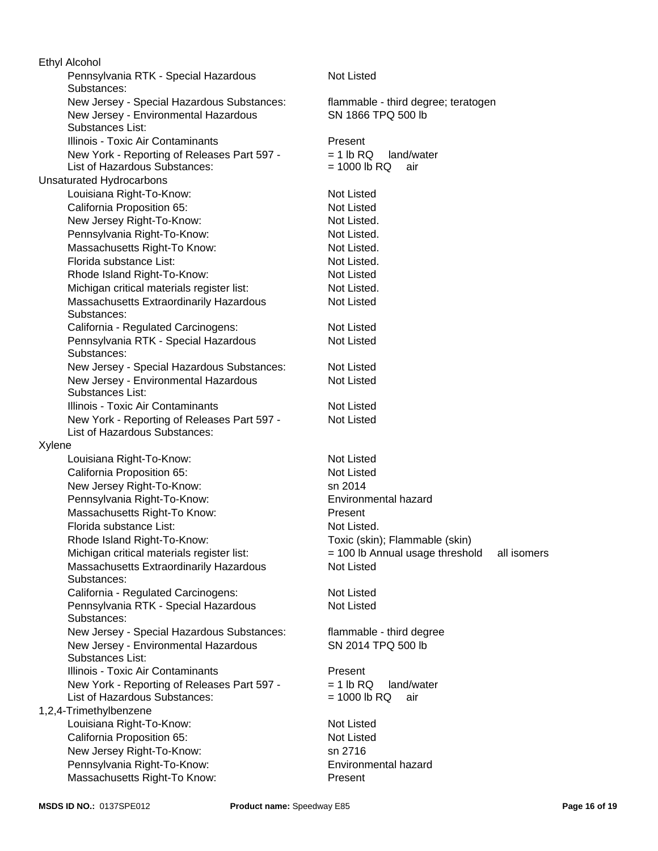New Jersey - Special Hazardous Substances: Not Listed Louisiana Right-To-Know: Not Listed New Jersey - Environmental Hazardous Substances List: Not Listed Pennsylvania RTK - Special Hazardous Substances: Illinois - Toxic Air Contaminants Not Listed California Proposition 65: New York - Reporting of Releases Part 597 - List of Hazardous Substances: Not Listed Not Listed New Jersey - Environmental Hazardous Substances List: Xylene SN 1866 TPQ 500 lb Louisiana Right-To-Know: Not Listed New Jersey Right-To-Know: New Jersey Right-To-Know: California Proposition 65: Not Listed Not Listed New Jersey Right-To-Know: sn 2014 Pennsylvania Right-To-Know: Environmental hazard Pennsylvania Right-To-Know: Not Listed. Massachusetts Right-To Know: example and Present Illinois - Toxic Air Contaminants Florida substance List: Not Listed. Massachusetts Right-To Know: Rhode Island Right-To-Know: Toxic (skin); Flammable (skin) Not Listed. Present Michigan critical materials register list:  $= 100$  lb Annual usage threshold all isomers Ethyl Alcohol Massachusetts Extraordinarily Hazardous Substances: Not Listed Florida substance List: Not Listed. California - Regulated Carcinogens: Not Listed Pennsylvania RTK - Special Hazardous Substances: Not Listed New Jersey - Special Hazardous Substances: flammable - third degree Rhode Island Right-To-Know: Not Listed New Jersey - Environmental Hazardous Substances List: SN 2014 TPQ 500 lb New York - Reporting of Releases Part 597 - List of Hazardous Substances:  $= 1$  lb RQ land/water  $= 1000$  lb RQ air Illinois - Toxic Air Contaminants **Present**  Michigan critical materials register list: New York - Reporting of Releases Part 597 - List of Hazardous Substances:  $= 1$  lb RQ land/water  $= 1000$  lb RQ air Not Listed. 1,2,4-Trimethylbenzene New Jersey - Special Hazardous Substances: Louisiana Right-To-Know: Not Listed Massachusetts Extraordinarily Hazardous Substances: Not Listed California Proposition 65: Not Listed flammable - third degree; teratogen New Jersey Right-To-Know: sn 2716 Unsaturated Hydrocarbons Pennsylvania Right-To-Know: Environmental hazard California - Regulated Carcinogens: Not Listed Massachusetts Right-To Know: Present Pennsylvania RTK - Special Hazardous Substances: Not Listed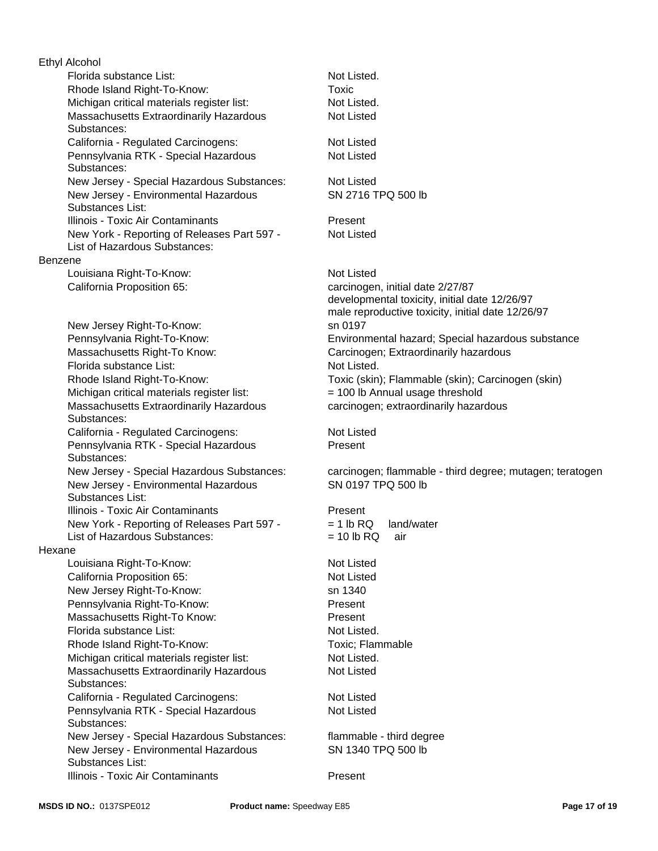Florida substance List: Not Listed. New Jersey - Special Hazardous Substances: Michigan critical materials register list:  $= 100$  lb Annual usage threshold Florida substance List: Massachusetts Extraordinarily Hazardous Substances: California - Regulated Carcinogens: Not Listed New Jersey - Environmental Hazardous Substances List: Pennsylvania RTK - Special Hazardous Substances: Michigan critical materials register list: Not Listed. New Jersey - Environmental Hazardous Substances List: Illinois - Toxic Air Contaminants **Present** Illinois - Toxic Air Contaminants **Present**  New York - Reporting of Releases Part 597 - List of Hazardous Substances: New York - Reporting of Releases Part 597 - List of Hazardous Substances: Hexane Louisiana Right-To-Know: Not Listed Massachusetts Extraordinarily Hazardous Substances: California Proposition 65: Not Listed Benzene New Jersey Right-To-Know: sn 1340 Ethyl Alcohol Pennsylvania Right-To-Know: Present Louisiana Right-To-Know: Not Listed Massachusetts Right-To Know: Present Florida substance List: Not Listed. Rhode Island Right-To-Know: Toxic; Flammable California Proposition 65: carcinogen, initial date 2/27/87 Michigan critical materials register list: Not Listed. California - Regulated Carcinogens: Not Listed Massachusetts Extraordinarily Hazardous Substances: New Jersey Right-To-Know: California - Regulated Carcinogens: Not Listed Pennsylvania RTK - Special Hazardous Substances: Rhode Island Right-To-Know: New Jersey - Special Hazardous Substances: flammable - third degree New Jersey - Environmental Hazardous Substances List: Illinois - Toxic Air Contaminants **Present**  Massachusetts Right-To Know: Pennsylvania RTK - Special Hazardous Substances:

 Rhode Island Right-To-Know: Toxic (skin); Flammable (skin); Carcinogen (skin) Not Listed carcinogen; extraordinarily hazardous SN 2716 TPQ 500 lb Not Listed Not Listed developmental toxicity, initial date 12/26/97 male reproductive toxicity, initial date 12/26/97 sn 0197 Pennsylvania Right-To-Know: Environmental hazard; Special hazardous substance Carcinogen; Extraordinarily hazardous Not Listed

Present

Not Listed.

Toxic

New Jersey - Special Hazardous Substances: carcinogen; flammable - third degree; mutagen; teratogen SN 0197 TPQ 500 lb

# $= 1$  lb RQ land/water  $= 10$  lb RQ air

Not Listed

Not Listed

SN 1340 TPQ 500 lb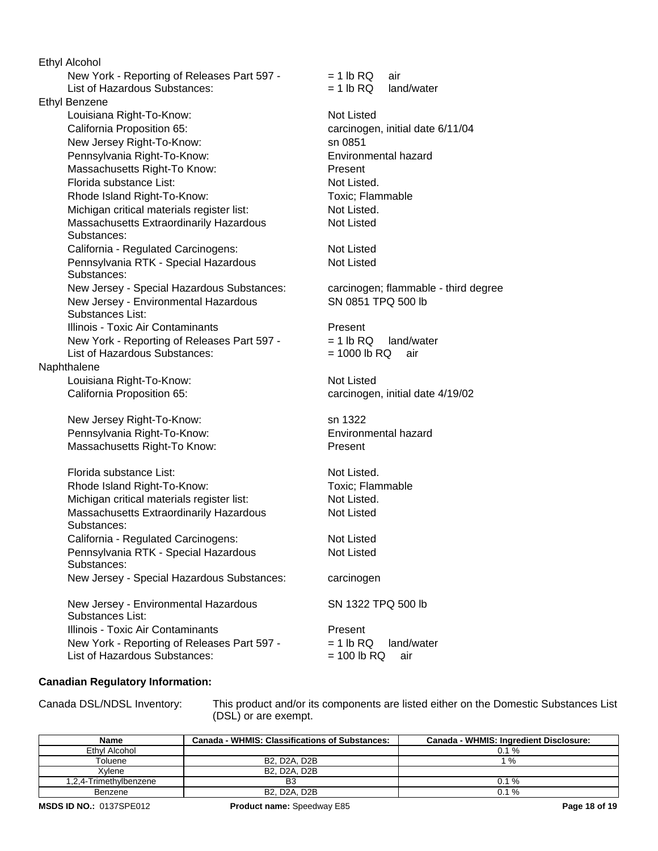California Proposition 65: carcinogen, initial date 4/19/02 Florida substance List: New Jersey Right-To-Know: sn 1322 Not Listed. Pennsylvania Right-To-Know: Environmental hazard  $= 1$  lb RQ air  $= 1$  lb RQ land/water Massachusetts Right-To Know: Present Rhode Island Right-To-Know: Toxic; Flammable Florida substance List: Not Listed. Rhode Island Right-To-Know: Toxic; Flammable Michigan critical materials register list: Not Listed. Michigan critical materials register list: Not Listed. Massachusetts Extraordinarily Hazardous Substances: Not Listed California Proposition 65: carcinogen, initial date 6/11/04 California - Regulated Carcinogens: Not Listed Massachusetts Extraordinarily Hazardous Substances: Pennsylvania RTK - Special Hazardous Substances: Not Listed Not Listed Ethyl Alcohol New Jersey - Special Hazardous Substances: carcinogen New Jersey - Environmental Hazardous Substances List: SN 1322 TPQ 500 lb California - Regulated Carcinogens: Not Listed Illinois - Toxic Air Contaminants **Present**  New York - Reporting of Releases Part 597 - List of Hazardous Substances:  $= 1$  lb RQ land/water  $= 100$  lb RQ air New Jersey Right-To-Know: Pennsylvania RTK - Special Hazardous Substances: Not Listed sn 0851 Ethyl Benzene New Jersey - Special Hazardous Substances: carcinogen; flammable - third degree New Jersey - Environmental Hazardous Substances List: SN 0851 TPQ 500 lb Pennsylvania Right-To-Know: Environmental hazard Illinois - Toxic Air Contaminants **Present**  New York - Reporting of Releases Part 597 - List of Hazardous Substances: New York - Reporting of Releases Part 597 - List of Hazardous Substances:  $= 1$  lb RQ land/water  $= 1000$  lb RQ air Naphthalene Massachusetts Right-To Know: Present Louisiana Right-To-Know: Not Listed Louisiana Right-To-Know: Not Listed

### **Canadian Regulatory Information:**

Canada DSL/NDSL Inventory: This product and/or its components are listed either on the Domestic Substances List (DSL) or are exempt.

| <b>Name</b>            | <b>Canada - WHMIS: Classifications of Substances:</b> | Canada - WHMIS: Ingredient Disclosure: |
|------------------------|-------------------------------------------------------|----------------------------------------|
| Ethyl Alcohol          |                                                       | $0.1 \%$                               |
| Toluene                | B2. D2A. D2B                                          | $1\%$                                  |
| Xvlene                 | B2. D2A. D2B                                          |                                        |
| 1,2,4-Trimethylbenzene | B3                                                    | $0.1 \%$                               |
| Benzene                | B2. D2A. D2B                                          | $0.1 \%$                               |